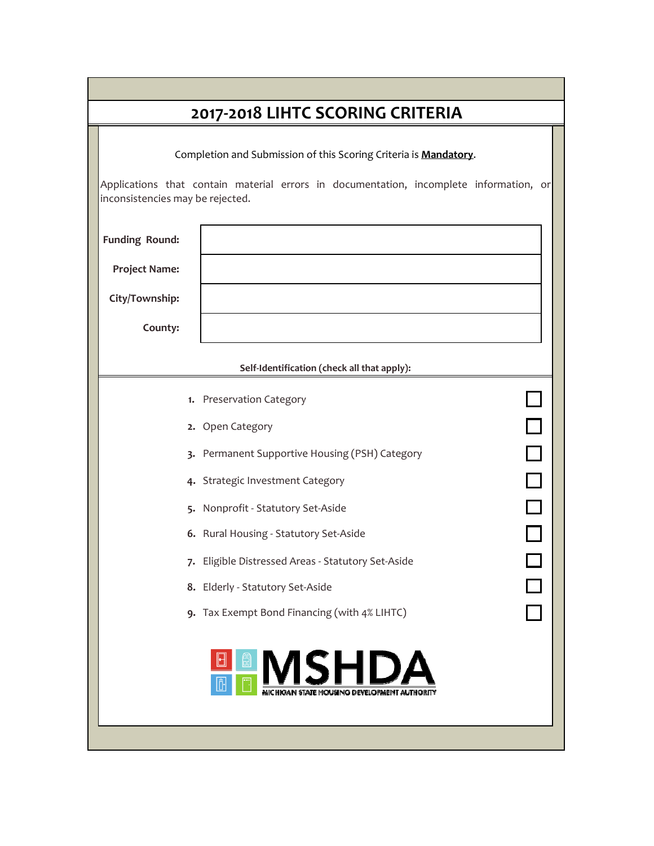| 2017-2018 LIHTC SCORING CRITERIA |                                                                                        |  |  |  |  |  |
|----------------------------------|----------------------------------------------------------------------------------------|--|--|--|--|--|
|                                  | Completion and Submission of this Scoring Criteria is Mandatory.                       |  |  |  |  |  |
| inconsistencies may be rejected. | Applications that contain material errors in documentation, incomplete information, or |  |  |  |  |  |
| <b>Funding Round:</b>            |                                                                                        |  |  |  |  |  |
| <b>Project Name:</b>             |                                                                                        |  |  |  |  |  |
| City/Township:                   |                                                                                        |  |  |  |  |  |
| County:                          |                                                                                        |  |  |  |  |  |
|                                  |                                                                                        |  |  |  |  |  |
|                                  | Self-Identification (check all that apply):                                            |  |  |  |  |  |
|                                  | 1. Preservation Category                                                               |  |  |  |  |  |
|                                  | $\Box$<br>2. Open Category                                                             |  |  |  |  |  |
|                                  | $\overline{\square}$<br>3. Permanent Supportive Housing (PSH) Category                 |  |  |  |  |  |
|                                  | $\Box$<br>4. Strategic Investment Category                                             |  |  |  |  |  |
|                                  | $\Box$<br>5. Nonprofit - Statutory Set-Aside                                           |  |  |  |  |  |
|                                  | 6. Rural Housing - Statutory Set-Aside                                                 |  |  |  |  |  |
|                                  | 7. Eligible Distressed Areas - Statutory Set-Aside                                     |  |  |  |  |  |
|                                  | 8. Elderly - Statutory Set-Aside                                                       |  |  |  |  |  |
|                                  | 9. Tax Exempt Bond Financing (with 4% LIHTC)                                           |  |  |  |  |  |
|                                  | <b>ISHDA</b>                                                                           |  |  |  |  |  |
|                                  |                                                                                        |  |  |  |  |  |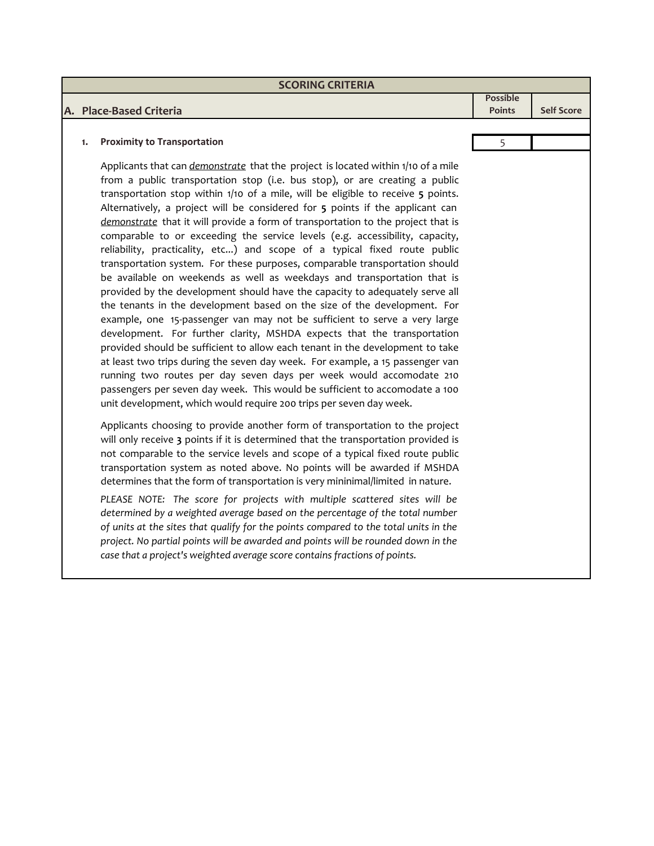| <b>SCORING CRITERIA</b>            |               |                   |
|------------------------------------|---------------|-------------------|
|                                    | Possible      |                   |
| A. Place-Based Criteria            | <b>Points</b> | <b>Self Score</b> |
|                                    |               |                   |
| <b>Proximity to Transportation</b> |               |                   |

Applicants that can *demonstrate* that the project is located within 1/10 of a mile from a public transportation stop (i.e. bus stop), or are creating a public transportation stop within 1/10 of a mile, will be eligible to receive **5** points. Alternatively, a project will be considered for **5** points if the applicant can *demonstrate* that it will provide a form of transportation to the project that is comparable to or exceeding the service levels (e.g. accessibility, capacity, reliability, practicality, etc...) and scope of a typical fixed route public transportation system. For these purposes, comparable transportation should be available on weekends as well as weekdays and transportation that is provided by the development should have the capacity to adequately serve all the tenants in the development based on the size of the development. For example, one 15‐passenger van may not be sufficient to serve a very large development. For further clarity, MSHDA expects that the transportation provided should be sufficient to allow each tenant in the development to take at least two trips during the seven day week. For example, a 15 passenger van running two routes per day seven days per week would accomodate 210 passengers per seven day week. This would be sufficient to accomodate a 100 unit development, which would require 200 trips per seven day week.

Applicants choosing to provide another form of transportation to the project will only receive **3** points if it is determined that the transportation provided is not comparable to the service levels and scope of a typical fixed route public transportation system as noted above. No points will be awarded if MSHDA determines that the form of transportation is very mininimal/limited in nature.

*PLEASE NOTE: The score for projects with multiple scattered sites will be determined by a weighted average based on the percentage of the total number of units at the sites that qualify for the points compared to the total units in the project. No partial points will be awarded and points will be rounded down in the case that a project's weighted average score contains fractions of points.*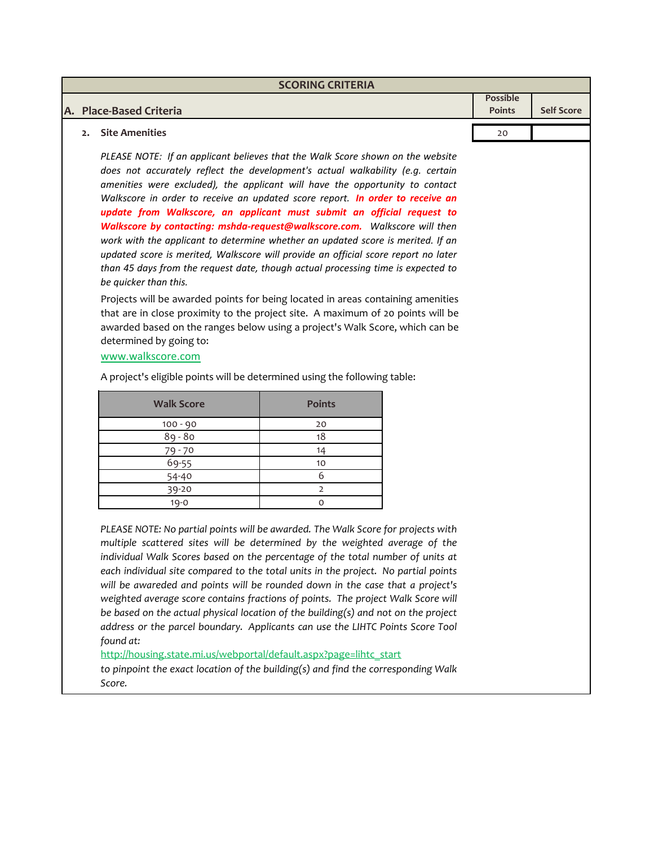| <b>SCORING CRITERIA</b> |                 |                   |  |  |  |
|-------------------------|-----------------|-------------------|--|--|--|
|                         | <b>Possible</b> |                   |  |  |  |
| A. Place-Based Criteria | <b>Points</b>   | <b>Self Score</b> |  |  |  |
|                         |                 |                   |  |  |  |
| Site Amenities<br>2.    | 20              |                   |  |  |  |

*PLEASE NOTE: If an applicant believes that the Walk Score shown on the website does not accurately reflect the development's actual walkability (e.g. certain amenities were excluded), the applicant will have the opportunity to contact Walkscore in order to receive an updated score report. In order to receive an update from Walkscore, an applicant must submit an official request to Walkscore by contacting: mshda‐request@walkscore.com. Walkscore will then work with the applicant to determine whether an updated score is merited. If an updated score is merited, Walkscore will provide an official score report no later than 45 days from the request date, though actual processing time is expected to be quicker than this.*

Projects will be awarded points for being located in areas containing amenities that are in close proximity to the project site. A maximum of 20 points will be awarded based on the ranges below using a project's Walk Score, which can be determined by going to:

www.walkscore.com

A project's eligible points will be determined using the following table:

| <b>Walk Score</b>         | <b>Points</b> |
|---------------------------|---------------|
| $100 - 90$                | 20            |
| $89 - 80$                 | 18            |
|                           | 14            |
| $\frac{79 - 70}{69 - 55}$ | 10            |
| 54-40                     |               |
| 39-20                     |               |
| $19 - 0$                  |               |

*PLEASE NOTE: No partial points will be awarded. The Walk Score for projects with multiple scattered sites will be determined by the weighted average of the individual Walk Scores based on the percentage of the total number of units at each individual site compared to the total units in the project. No partial points will be awareded and points will be rounded down in the case that a project's weighted average score contains fractions of points. The project Walk Score will be based on the actual physical location of the building(s) and not on the project address or the parcel boundary. Applicants can use the LIHTC Points Score Tool found at:*

http://housing.state.mi.us/webportal/default.aspx?page=lihtc\_start

*to pinpoint the exact location of the building(s) and find the corresponding Walk Score.*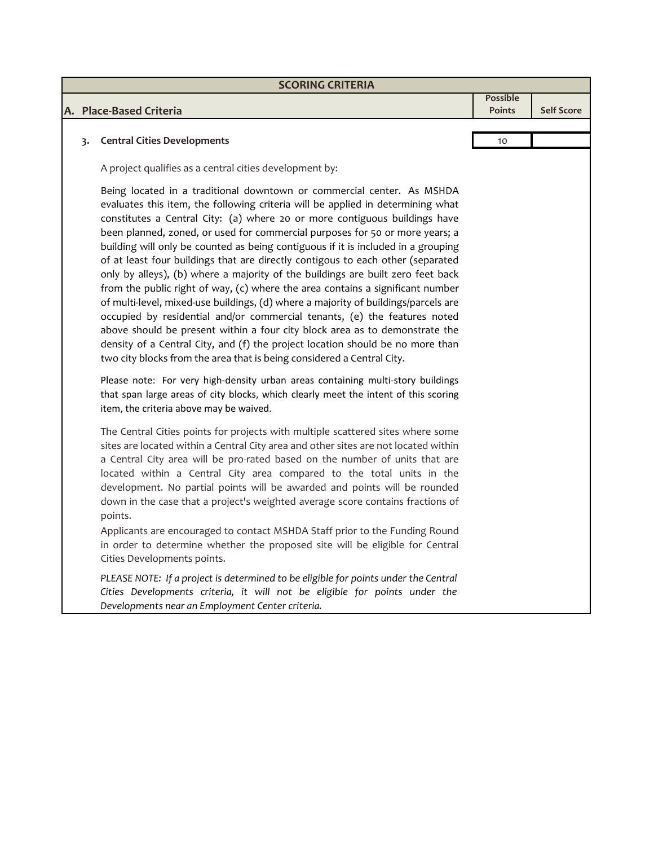| <b>SCORING CRITERIA</b> |    |                                                                                                                                                                                                                                                                                                                                                                                                                                                                                                                                                                                                                                                                                                                                                                                                                                                                                                                                                                                                                                                                                    |                 |                   |  |
|-------------------------|----|------------------------------------------------------------------------------------------------------------------------------------------------------------------------------------------------------------------------------------------------------------------------------------------------------------------------------------------------------------------------------------------------------------------------------------------------------------------------------------------------------------------------------------------------------------------------------------------------------------------------------------------------------------------------------------------------------------------------------------------------------------------------------------------------------------------------------------------------------------------------------------------------------------------------------------------------------------------------------------------------------------------------------------------------------------------------------------|-----------------|-------------------|--|
|                         |    |                                                                                                                                                                                                                                                                                                                                                                                                                                                                                                                                                                                                                                                                                                                                                                                                                                                                                                                                                                                                                                                                                    | <b>Possible</b> | <b>Self Score</b> |  |
|                         |    | A. Place-Based Criteria                                                                                                                                                                                                                                                                                                                                                                                                                                                                                                                                                                                                                                                                                                                                                                                                                                                                                                                                                                                                                                                            | <b>Points</b>   |                   |  |
|                         | 3. | <b>Central Cities Developments</b>                                                                                                                                                                                                                                                                                                                                                                                                                                                                                                                                                                                                                                                                                                                                                                                                                                                                                                                                                                                                                                                 | 10              |                   |  |
|                         |    |                                                                                                                                                                                                                                                                                                                                                                                                                                                                                                                                                                                                                                                                                                                                                                                                                                                                                                                                                                                                                                                                                    |                 |                   |  |
|                         |    | A project qualifies as a central cities development by:                                                                                                                                                                                                                                                                                                                                                                                                                                                                                                                                                                                                                                                                                                                                                                                                                                                                                                                                                                                                                            |                 |                   |  |
|                         |    | Being located in a traditional downtown or commercial center. As MSHDA<br>evaluates this item, the following criteria will be applied in determining what<br>constitutes a Central City: (a) where 20 or more contiguous buildings have<br>been planned, zoned, or used for commercial purposes for 50 or more years; a<br>building will only be counted as being contiguous if it is included in a grouping<br>of at least four buildings that are directly contigous to each other (separated<br>only by alleys), (b) where a majority of the buildings are built zero feet back<br>from the public right of way, (c) where the area contains a significant number<br>of multi-level, mixed-use buildings, (d) where a majority of buildings/parcels are<br>occupied by residential and/or commercial tenants, (e) the features noted<br>above should be present within a four city block area as to demonstrate the<br>density of a Central City, and (f) the project location should be no more than<br>two city blocks from the area that is being considered a Central City. |                 |                   |  |
|                         |    | Please note: For very high-density urban areas containing multi-story buildings<br>that span large areas of city blocks, which clearly meet the intent of this scoring<br>item, the criteria above may be waived.                                                                                                                                                                                                                                                                                                                                                                                                                                                                                                                                                                                                                                                                                                                                                                                                                                                                  |                 |                   |  |
|                         |    | The Central Cities points for projects with multiple scattered sites where some<br>sites are located within a Central City area and other sites are not located within<br>a Central City area will be pro-rated based on the number of units that are<br>located within a Central City area compared to the total units in the<br>development. No partial points will be awarded and points will be rounded<br>down in the case that a project's weighted average score contains fractions of<br>points.                                                                                                                                                                                                                                                                                                                                                                                                                                                                                                                                                                           |                 |                   |  |
|                         |    | Applicants are encouraged to contact MSHDA Staff prior to the Funding Round<br>in order to determine whether the proposed site will be eligible for Central<br>Cities Developments points.                                                                                                                                                                                                                                                                                                                                                                                                                                                                                                                                                                                                                                                                                                                                                                                                                                                                                         |                 |                   |  |
|                         |    | PLEASE NOTE: If a project is determined to be eligible for points under the Central<br>Cities Developments criteria, it will not be eligible for points under the<br>Developments near an Employment Center criteria.                                                                                                                                                                                                                                                                                                                                                                                                                                                                                                                                                                                                                                                                                                                                                                                                                                                              |                 |                   |  |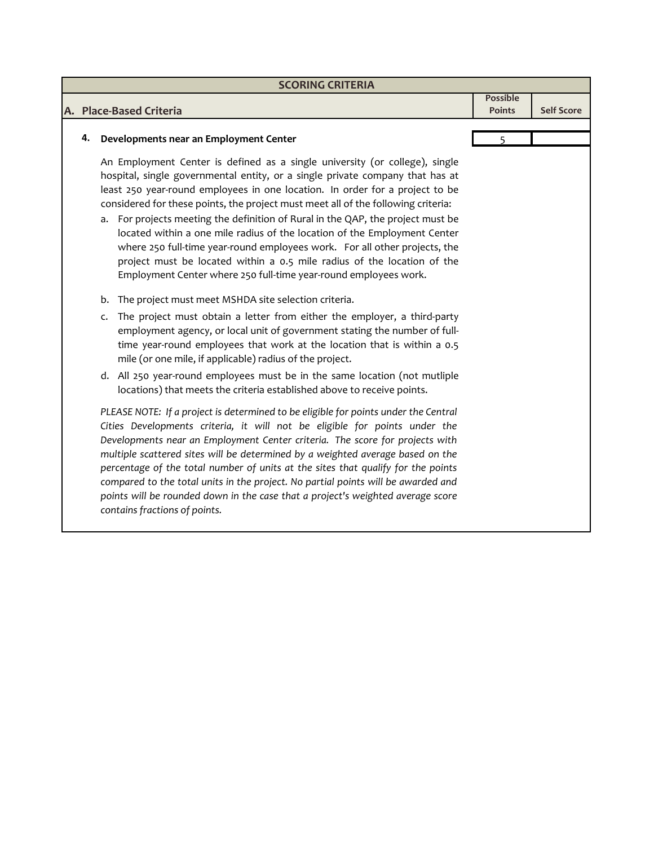| <b>SCORING CRITERIA</b> |                                                                                                                                                                                                                                                                                                                                                                                                                                                                                                                                                                                                                                                                                                                                                                                                                                                                                                                                                              |               |                   |  |  |  |
|-------------------------|--------------------------------------------------------------------------------------------------------------------------------------------------------------------------------------------------------------------------------------------------------------------------------------------------------------------------------------------------------------------------------------------------------------------------------------------------------------------------------------------------------------------------------------------------------------------------------------------------------------------------------------------------------------------------------------------------------------------------------------------------------------------------------------------------------------------------------------------------------------------------------------------------------------------------------------------------------------|---------------|-------------------|--|--|--|
| <b>Possible</b>         |                                                                                                                                                                                                                                                                                                                                                                                                                                                                                                                                                                                                                                                                                                                                                                                                                                                                                                                                                              |               |                   |  |  |  |
|                         | A. Place-Based Criteria                                                                                                                                                                                                                                                                                                                                                                                                                                                                                                                                                                                                                                                                                                                                                                                                                                                                                                                                      | <b>Points</b> | <b>Self Score</b> |  |  |  |
|                         |                                                                                                                                                                                                                                                                                                                                                                                                                                                                                                                                                                                                                                                                                                                                                                                                                                                                                                                                                              |               |                   |  |  |  |
| 4.                      | Developments near an Employment Center                                                                                                                                                                                                                                                                                                                                                                                                                                                                                                                                                                                                                                                                                                                                                                                                                                                                                                                       | 5             |                   |  |  |  |
|                         | An Employment Center is defined as a single university (or college), single<br>hospital, single governmental entity, or a single private company that has at<br>least 250 year-round employees in one location. In order for a project to be<br>considered for these points, the project must meet all of the following criteria:<br>a. For projects meeting the definition of Rural in the QAP, the project must be<br>located within a one mile radius of the location of the Employment Center<br>where 250 full-time year-round employees work. For all other projects, the<br>project must be located within a 0.5 mile radius of the location of the<br>Employment Center where 250 full-time year-round employees work.<br>The project must meet MSHDA site selection criteria.<br>b.<br>The project must obtain a letter from either the employer, a third-party<br>c.<br>employment agency, or local unit of government stating the number of full- |               |                   |  |  |  |
|                         | time year-round employees that work at the location that is within a 0.5<br>mile (or one mile, if applicable) radius of the project.<br>d. All 250 year-round employees must be in the same location (not mutliple                                                                                                                                                                                                                                                                                                                                                                                                                                                                                                                                                                                                                                                                                                                                           |               |                   |  |  |  |
|                         | locations) that meets the criteria established above to receive points.                                                                                                                                                                                                                                                                                                                                                                                                                                                                                                                                                                                                                                                                                                                                                                                                                                                                                      |               |                   |  |  |  |
|                         | PLEASE NOTE: If a project is determined to be eligible for points under the Central<br>Cities Developments criteria, it will not be eligible for points under the<br>Developments near an Employment Center criteria. The score for projects with<br>multiple scattered sites will be determined by a weighted average based on the<br>percentage of the total number of units at the sites that qualify for the points<br>compared to the total units in the project. No partial points will be awarded and<br>points will be rounded down in the case that a project's weighted average score<br>contains fractions of points.                                                                                                                                                                                                                                                                                                                             |               |                   |  |  |  |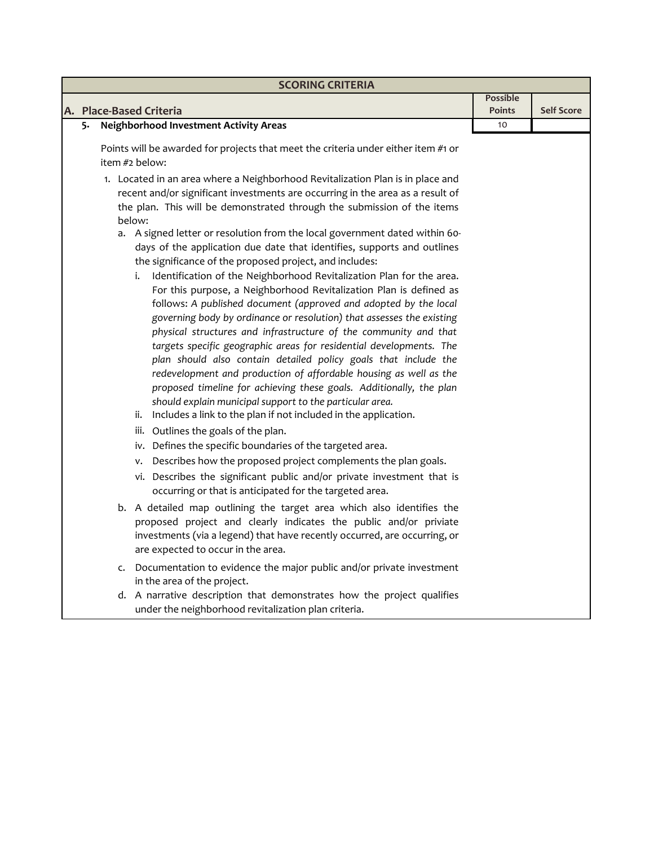|    | <b>SCORING CRITERIA</b>                                                                                                                                                                                                                                                                                                                                                                                                                                                                                                                                                                                                                                                                                                                                                                                                                                                                                                                                                                                                                                                                                                                                                                                                                                                                                                                        |                                  |                   |  |  |  |
|----|------------------------------------------------------------------------------------------------------------------------------------------------------------------------------------------------------------------------------------------------------------------------------------------------------------------------------------------------------------------------------------------------------------------------------------------------------------------------------------------------------------------------------------------------------------------------------------------------------------------------------------------------------------------------------------------------------------------------------------------------------------------------------------------------------------------------------------------------------------------------------------------------------------------------------------------------------------------------------------------------------------------------------------------------------------------------------------------------------------------------------------------------------------------------------------------------------------------------------------------------------------------------------------------------------------------------------------------------|----------------------------------|-------------------|--|--|--|
|    | A. Place-Based Criteria                                                                                                                                                                                                                                                                                                                                                                                                                                                                                                                                                                                                                                                                                                                                                                                                                                                                                                                                                                                                                                                                                                                                                                                                                                                                                                                        | <b>Possible</b><br><b>Points</b> | <b>Self Score</b> |  |  |  |
| 5. | <b>Neighborhood Investment Activity Areas</b>                                                                                                                                                                                                                                                                                                                                                                                                                                                                                                                                                                                                                                                                                                                                                                                                                                                                                                                                                                                                                                                                                                                                                                                                                                                                                                  | 10                               |                   |  |  |  |
|    |                                                                                                                                                                                                                                                                                                                                                                                                                                                                                                                                                                                                                                                                                                                                                                                                                                                                                                                                                                                                                                                                                                                                                                                                                                                                                                                                                |                                  |                   |  |  |  |
|    | Points will be awarded for projects that meet the criteria under either item #1 or<br>item #2 below:                                                                                                                                                                                                                                                                                                                                                                                                                                                                                                                                                                                                                                                                                                                                                                                                                                                                                                                                                                                                                                                                                                                                                                                                                                           |                                  |                   |  |  |  |
|    | 1. Located in an area where a Neighborhood Revitalization Plan is in place and<br>recent and/or significant investments are occurring in the area as a result of<br>the plan. This will be demonstrated through the submission of the items                                                                                                                                                                                                                                                                                                                                                                                                                                                                                                                                                                                                                                                                                                                                                                                                                                                                                                                                                                                                                                                                                                    |                                  |                   |  |  |  |
|    | below:<br>a. A signed letter or resolution from the local government dated within 60-<br>days of the application due date that identifies, supports and outlines<br>the significance of the proposed project, and includes:<br>Identification of the Neighborhood Revitalization Plan for the area.<br>i.<br>For this purpose, a Neighborhood Revitalization Plan is defined as<br>follows: A published document (approved and adopted by the local<br>governing body by ordinance or resolution) that assesses the existing<br>physical structures and infrastructure of the community and that<br>targets specific geographic areas for residential developments. The<br>plan should also contain detailed policy goals that include the<br>redevelopment and production of affordable housing as well as the<br>proposed timeline for achieving these goals. Additionally, the plan<br>should explain municipal support to the particular area.<br>Includes a link to the plan if not included in the application.<br>ii.<br>iii. Outlines the goals of the plan.<br>iv. Defines the specific boundaries of the targeted area.<br>Describes how the proposed project complements the plan goals.<br>٧.<br>vi. Describes the significant public and/or private investment that is<br>occurring or that is anticipated for the targeted area. |                                  |                   |  |  |  |
|    | b. A detailed map outlining the target area which also identifies the<br>proposed project and clearly indicates the public and/or priviate<br>investments (via a legend) that have recently occurred, are occurring, or<br>are expected to occur in the area.                                                                                                                                                                                                                                                                                                                                                                                                                                                                                                                                                                                                                                                                                                                                                                                                                                                                                                                                                                                                                                                                                  |                                  |                   |  |  |  |
|    | Documentation to evidence the major public and/or private investment<br>c.<br>in the area of the project.                                                                                                                                                                                                                                                                                                                                                                                                                                                                                                                                                                                                                                                                                                                                                                                                                                                                                                                                                                                                                                                                                                                                                                                                                                      |                                  |                   |  |  |  |
|    | d. A narrative description that demonstrates how the project qualifies<br>under the neighborhood revitalization plan criteria.                                                                                                                                                                                                                                                                                                                                                                                                                                                                                                                                                                                                                                                                                                                                                                                                                                                                                                                                                                                                                                                                                                                                                                                                                 |                                  |                   |  |  |  |
|    |                                                                                                                                                                                                                                                                                                                                                                                                                                                                                                                                                                                                                                                                                                                                                                                                                                                                                                                                                                                                                                                                                                                                                                                                                                                                                                                                                |                                  |                   |  |  |  |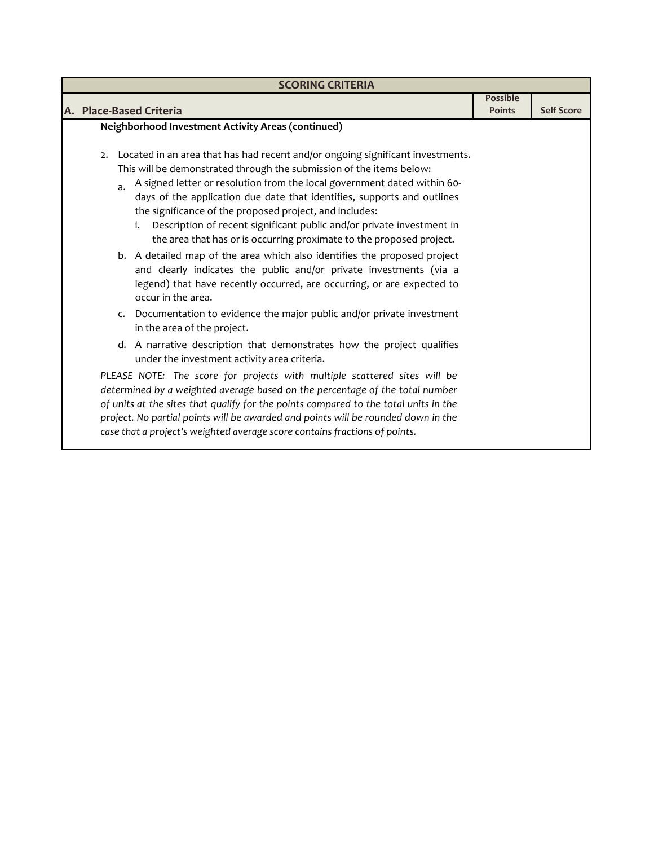| <b>SCORING CRITERIA</b>                                                                                                                                                                                                                                                                                                                                                                                                                          |                                  |                   |  |  |
|--------------------------------------------------------------------------------------------------------------------------------------------------------------------------------------------------------------------------------------------------------------------------------------------------------------------------------------------------------------------------------------------------------------------------------------------------|----------------------------------|-------------------|--|--|
| A. Place-Based Criteria                                                                                                                                                                                                                                                                                                                                                                                                                          | <b>Possible</b><br><b>Points</b> | <b>Self Score</b> |  |  |
| Neighborhood Investment Activity Areas (continued)<br>Located in an area that has had recent and/or ongoing significant investments.<br>2.                                                                                                                                                                                                                                                                                                       |                                  |                   |  |  |
| This will be demonstrated through the submission of the items below:<br>A signed letter or resolution from the local government dated within 60-<br>a.<br>days of the application due date that identifies, supports and outlines<br>the significance of the proposed project, and includes:<br>i. Description of recent significant public and/or private investment in<br>the area that has or is occurring proximate to the proposed project. |                                  |                   |  |  |
| b. A detailed map of the area which also identifies the proposed project<br>and clearly indicates the public and/or private investments (via a<br>legend) that have recently occurred, are occurring, or are expected to<br>occur in the area.                                                                                                                                                                                                   |                                  |                   |  |  |
| c. Documentation to evidence the major public and/or private investment<br>in the area of the project.                                                                                                                                                                                                                                                                                                                                           |                                  |                   |  |  |
| d. A narrative description that demonstrates how the project qualifies<br>under the investment activity area criteria.                                                                                                                                                                                                                                                                                                                           |                                  |                   |  |  |
| PLEASE NOTE: The score for projects with multiple scattered sites will be<br>determined by a weighted average based on the percentage of the total number<br>of units at the sites that qualify for the points compared to the total units in the<br>project. No partial points will be awarded and points will be rounded down in the<br>case that a project's weighted average score contains fractions of points.                             |                                  |                   |  |  |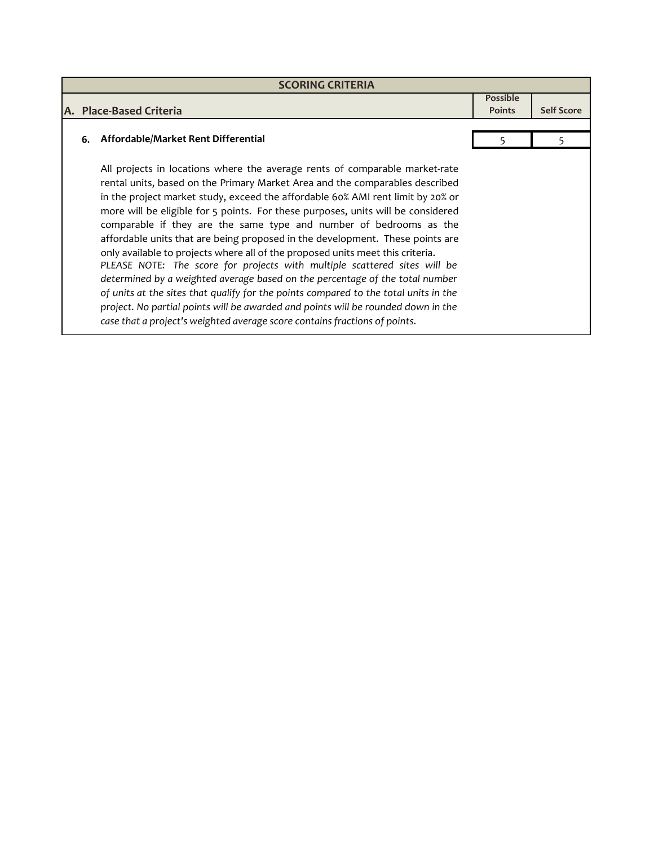| <b>SCORING CRITERIA</b> |                                                                                                                                                                                                                                                                                                                                                                                                                                                                                                                                                                                                                                                                                                                                                                                                                                                                                                                                                                                                     |                                  |                   |  |
|-------------------------|-----------------------------------------------------------------------------------------------------------------------------------------------------------------------------------------------------------------------------------------------------------------------------------------------------------------------------------------------------------------------------------------------------------------------------------------------------------------------------------------------------------------------------------------------------------------------------------------------------------------------------------------------------------------------------------------------------------------------------------------------------------------------------------------------------------------------------------------------------------------------------------------------------------------------------------------------------------------------------------------------------|----------------------------------|-------------------|--|
|                         | A. Place-Based Criteria                                                                                                                                                                                                                                                                                                                                                                                                                                                                                                                                                                                                                                                                                                                                                                                                                                                                                                                                                                             | <b>Possible</b><br><b>Points</b> | <b>Self Score</b> |  |
|                         | 6. Affordable/Market Rent Differential                                                                                                                                                                                                                                                                                                                                                                                                                                                                                                                                                                                                                                                                                                                                                                                                                                                                                                                                                              |                                  |                   |  |
|                         | All projects in locations where the average rents of comparable market-rate<br>rental units, based on the Primary Market Area and the comparables described<br>in the project market study, exceed the affordable 60% AMI rent limit by 20% or<br>more will be eligible for 5 points. For these purposes, units will be considered<br>comparable if they are the same type and number of bedrooms as the<br>affordable units that are being proposed in the development. These points are<br>only available to projects where all of the proposed units meet this criteria.<br>PLEASE NOTE: The score for projects with multiple scattered sites will be<br>determined by a weighted average based on the percentage of the total number<br>of units at the sites that qualify for the points compared to the total units in the<br>project. No partial points will be awarded and points will be rounded down in the<br>case that a project's weighted average score contains fractions of points. |                                  |                   |  |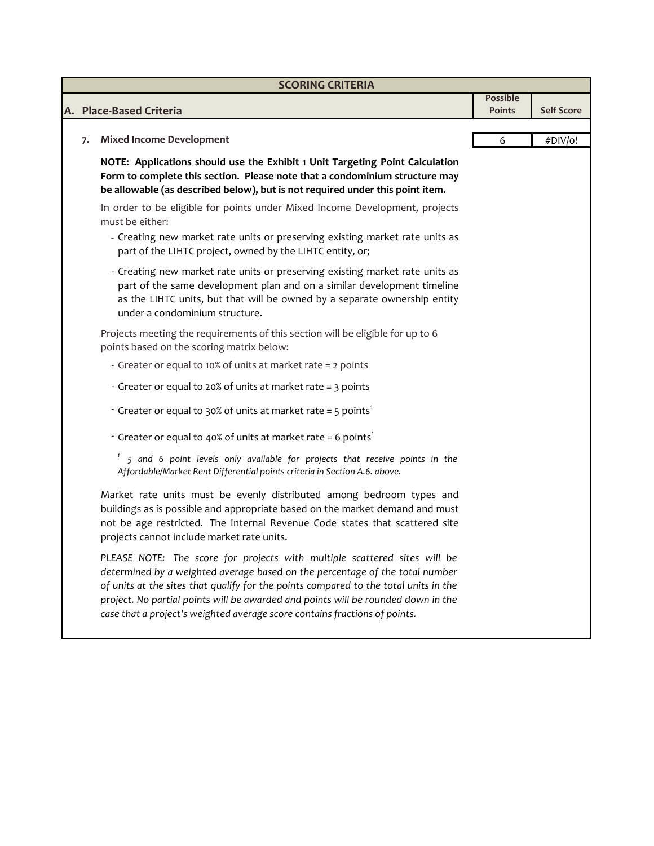| <b>SCORING CRITERIA</b> |                                                                                                                                                                                                                                                                                                                                                                                                                      |                 |                   |  |  |
|-------------------------|----------------------------------------------------------------------------------------------------------------------------------------------------------------------------------------------------------------------------------------------------------------------------------------------------------------------------------------------------------------------------------------------------------------------|-----------------|-------------------|--|--|
|                         |                                                                                                                                                                                                                                                                                                                                                                                                                      | <b>Possible</b> |                   |  |  |
|                         | A. Place-Based Criteria                                                                                                                                                                                                                                                                                                                                                                                              | <b>Points</b>   | <b>Self Score</b> |  |  |
| 7.                      | <b>Mixed Income Development</b>                                                                                                                                                                                                                                                                                                                                                                                      | 6               | #DIV/o!           |  |  |
|                         | NOTE: Applications should use the Exhibit 1 Unit Targeting Point Calculation<br>Form to complete this section. Please note that a condominium structure may<br>be allowable (as described below), but is not required under this point item.                                                                                                                                                                         |                 |                   |  |  |
|                         | In order to be eligible for points under Mixed Income Development, projects<br>must be either:                                                                                                                                                                                                                                                                                                                       |                 |                   |  |  |
|                         | - Creating new market rate units or preserving existing market rate units as<br>part of the LIHTC project, owned by the LIHTC entity, or;                                                                                                                                                                                                                                                                            |                 |                   |  |  |
|                         | - Creating new market rate units or preserving existing market rate units as<br>part of the same development plan and on a similar development timeline<br>as the LIHTC units, but that will be owned by a separate ownership entity<br>under a condominium structure.                                                                                                                                               |                 |                   |  |  |
|                         | Projects meeting the requirements of this section will be eligible for up to 6<br>points based on the scoring matrix below:                                                                                                                                                                                                                                                                                          |                 |                   |  |  |
|                         | - Greater or equal to 10% of units at market rate = 2 points                                                                                                                                                                                                                                                                                                                                                         |                 |                   |  |  |
|                         | - Greater or equal to 20% of units at market rate = 3 points                                                                                                                                                                                                                                                                                                                                                         |                 |                   |  |  |
|                         | - Greater or equal to 30% of units at market rate = 5 points <sup>1</sup>                                                                                                                                                                                                                                                                                                                                            |                 |                   |  |  |
|                         | - Greater or equal to 40% of units at market rate = 6 points <sup>1</sup>                                                                                                                                                                                                                                                                                                                                            |                 |                   |  |  |
|                         | 5 and 6 point levels only available for projects that receive points in the<br>Affordable/Market Rent Differential points criteria in Section A.6. above.                                                                                                                                                                                                                                                            |                 |                   |  |  |
|                         | Market rate units must be evenly distributed among bedroom types and<br>buildings as is possible and appropriate based on the market demand and must<br>not be age restricted. The Internal Revenue Code states that scattered site<br>projects cannot include market rate units.                                                                                                                                    |                 |                   |  |  |
|                         | PLEASE NOTE: The score for projects with multiple scattered sites will be<br>determined by a weighted average based on the percentage of the total number<br>of units at the sites that qualify for the points compared to the total units in the<br>project. No partial points will be awarded and points will be rounded down in the<br>case that a project's weighted average score contains fractions of points. |                 |                   |  |  |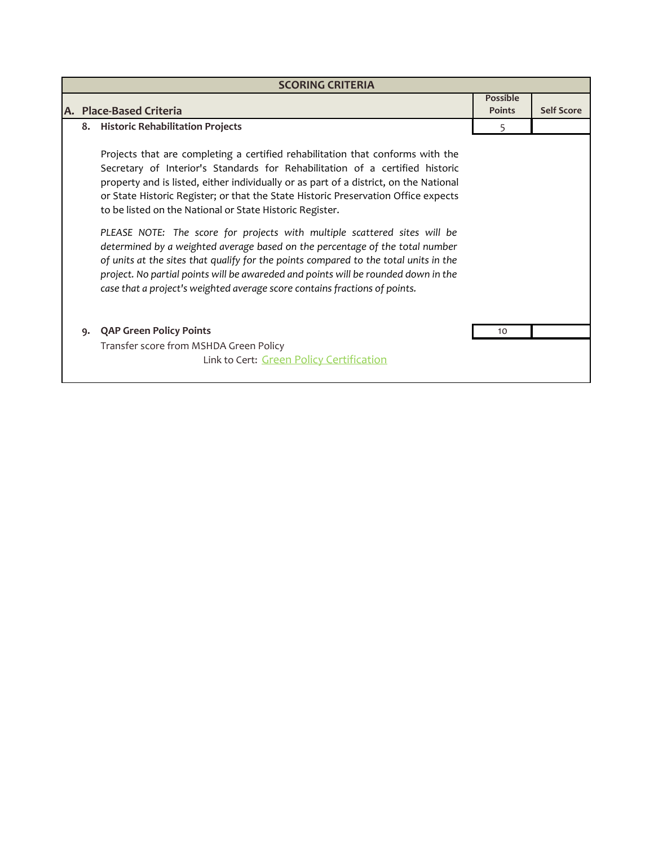| <b>SCORING CRITERIA</b> |                                                                                                                                                                                                                                                                                                                                                                                                                       |                                  |                   |  |  |
|-------------------------|-----------------------------------------------------------------------------------------------------------------------------------------------------------------------------------------------------------------------------------------------------------------------------------------------------------------------------------------------------------------------------------------------------------------------|----------------------------------|-------------------|--|--|
|                         | A. Place-Based Criteria                                                                                                                                                                                                                                                                                                                                                                                               | <b>Possible</b><br><b>Points</b> | <b>Self Score</b> |  |  |
|                         | 8. Historic Rehabilitation Projects                                                                                                                                                                                                                                                                                                                                                                                   | 5                                |                   |  |  |
|                         | Projects that are completing a certified rehabilitation that conforms with the<br>Secretary of Interior's Standards for Rehabilitation of a certified historic<br>property and is listed, either individually or as part of a district, on the National<br>or State Historic Register; or that the State Historic Preservation Office expects<br>to be listed on the National or State Historic Register.             |                                  |                   |  |  |
|                         | PLEASE NOTE: The score for projects with multiple scattered sites will be<br>determined by a weighted average based on the percentage of the total number<br>of units at the sites that qualify for the points compared to the total units in the<br>project. No partial points will be awareded and points will be rounded down in the<br>case that a project's weighted average score contains fractions of points. |                                  |                   |  |  |
| 9.                      | <b>QAP Green Policy Points</b><br>Transfer score from MSHDA Green Policy                                                                                                                                                                                                                                                                                                                                              | 10                               |                   |  |  |
|                         | Link to Cert: Green Policy Certification                                                                                                                                                                                                                                                                                                                                                                              |                                  |                   |  |  |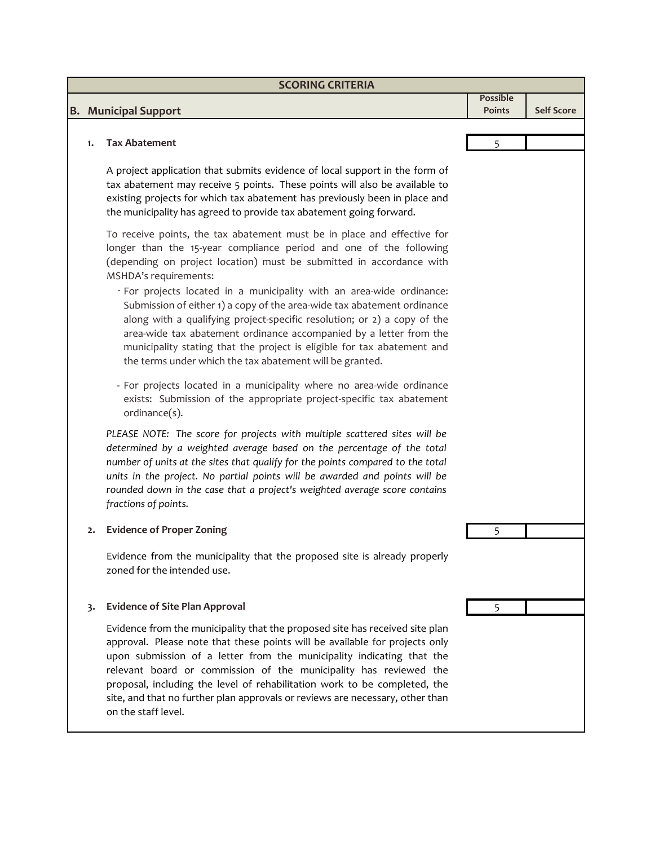| <b>SCORING CRITERIA</b> |                                                                                                                                                                                                                                                                                                                                                                                                                                                                                                |                           |                   |  |  |
|-------------------------|------------------------------------------------------------------------------------------------------------------------------------------------------------------------------------------------------------------------------------------------------------------------------------------------------------------------------------------------------------------------------------------------------------------------------------------------------------------------------------------------|---------------------------|-------------------|--|--|
|                         | <b>B.</b> Municipal Support                                                                                                                                                                                                                                                                                                                                                                                                                                                                    | Possible<br><b>Points</b> | <b>Self Score</b> |  |  |
|                         |                                                                                                                                                                                                                                                                                                                                                                                                                                                                                                |                           |                   |  |  |
| 1.                      | <b>Tax Abatement</b>                                                                                                                                                                                                                                                                                                                                                                                                                                                                           | 5                         |                   |  |  |
|                         | A project application that submits evidence of local support in the form of<br>tax abatement may receive 5 points. These points will also be available to<br>existing projects for which tax abatement has previously been in place and<br>the municipality has agreed to provide tax abatement going forward.                                                                                                                                                                                 |                           |                   |  |  |
|                         | To receive points, the tax abatement must be in place and effective for<br>longer than the 15-year compliance period and one of the following<br>(depending on project location) must be submitted in accordance with<br>MSHDA's requirements:                                                                                                                                                                                                                                                 |                           |                   |  |  |
|                         | - For projects located in a municipality with an area-wide ordinance:<br>Submission of either 1) a copy of the area-wide tax abatement ordinance<br>along with a qualifying project-specific resolution; or 2) a copy of the<br>area-wide tax abatement ordinance accompanied by a letter from the<br>municipality stating that the project is eligible for tax abatement and<br>the terms under which the tax abatement will be granted.                                                      |                           |                   |  |  |
|                         | - For projects located in a municipality where no area-wide ordinance<br>exists: Submission of the appropriate project-specific tax abatement<br>ordinance(s).                                                                                                                                                                                                                                                                                                                                 |                           |                   |  |  |
|                         | PLEASE NOTE: The score for projects with multiple scattered sites will be<br>determined by a weighted average based on the percentage of the total<br>number of units at the sites that qualify for the points compared to the total<br>units in the project. No partial points will be awarded and points will be<br>rounded down in the case that a project's weighted average score contains<br>fractions of points.                                                                        |                           |                   |  |  |
| 2.                      | <b>Evidence of Proper Zoning</b>                                                                                                                                                                                                                                                                                                                                                                                                                                                               |                           |                   |  |  |
|                         | Evidence from the municipality that the proposed site is already properly<br>zoned for the intended use.                                                                                                                                                                                                                                                                                                                                                                                       |                           |                   |  |  |
| 3.                      | <b>Evidence of Site Plan Approval</b>                                                                                                                                                                                                                                                                                                                                                                                                                                                          | 5                         |                   |  |  |
|                         | Evidence from the municipality that the proposed site has received site plan<br>approval. Please note that these points will be available for projects only<br>upon submission of a letter from the municipality indicating that the<br>relevant board or commission of the municipality has reviewed the<br>proposal, including the level of rehabilitation work to be completed, the<br>site, and that no further plan approvals or reviews are necessary, other than<br>on the staff level. |                           |                   |  |  |
|                         |                                                                                                                                                                                                                                                                                                                                                                                                                                                                                                |                           |                   |  |  |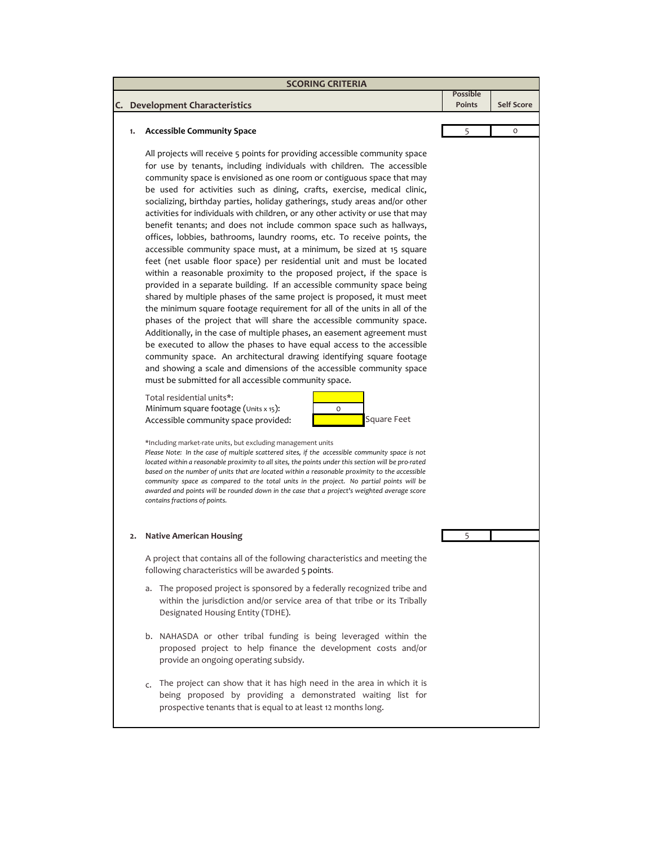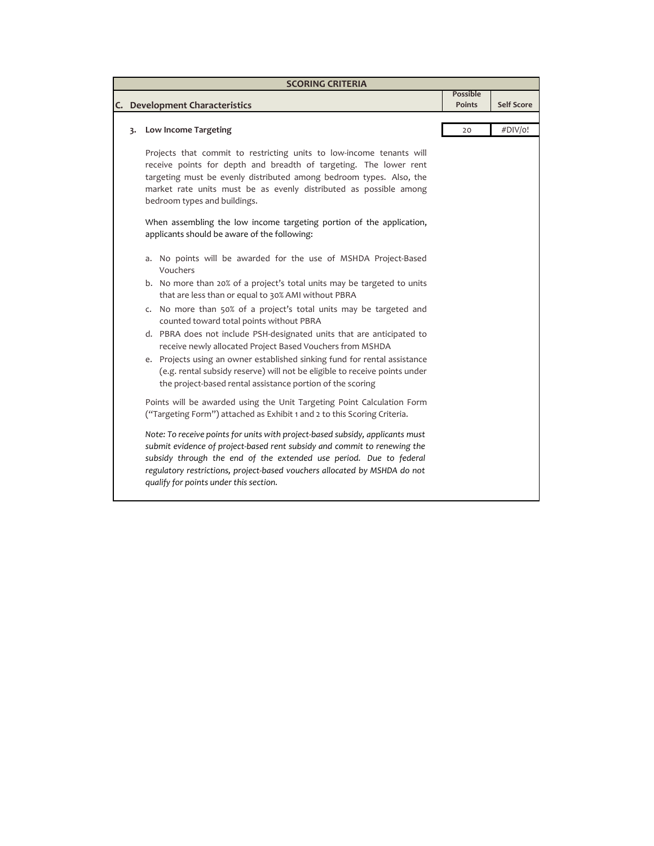|    | <b>SCORING CRITERIA</b>                                                                                                                                                                                                                                                                                                                                |                                  |                   |
|----|--------------------------------------------------------------------------------------------------------------------------------------------------------------------------------------------------------------------------------------------------------------------------------------------------------------------------------------------------------|----------------------------------|-------------------|
|    | C. Development Characteristics                                                                                                                                                                                                                                                                                                                         | <b>Possible</b><br><b>Points</b> | <b>Self Score</b> |
|    |                                                                                                                                                                                                                                                                                                                                                        |                                  |                   |
| 3. | <b>Low Income Targeting</b>                                                                                                                                                                                                                                                                                                                            | 20                               | #DIV/o!           |
|    | Projects that commit to restricting units to low-income tenants will<br>receive points for depth and breadth of targeting. The lower rent<br>targeting must be evenly distributed among bedroom types. Also, the<br>market rate units must be as evenly distributed as possible among<br>bedroom types and buildings.                                  |                                  |                   |
|    | When assembling the low income targeting portion of the application,<br>applicants should be aware of the following:                                                                                                                                                                                                                                   |                                  |                   |
|    | a. No points will be awarded for the use of MSHDA Project-Based<br>Vouchers                                                                                                                                                                                                                                                                            |                                  |                   |
|    | b. No more than 20% of a project's total units may be targeted to units<br>that are less than or equal to 30% AMI without PBRA                                                                                                                                                                                                                         |                                  |                   |
|    | c. No more than 50% of a project's total units may be targeted and<br>counted toward total points without PBRA                                                                                                                                                                                                                                         |                                  |                   |
|    | d. PBRA does not include PSH-designated units that are anticipated to<br>receive newly allocated Project Based Vouchers from MSHDA                                                                                                                                                                                                                     |                                  |                   |
|    | e. Projects using an owner established sinking fund for rental assistance<br>(e.g. rental subsidy reserve) will not be eligible to receive points under<br>the project-based rental assistance portion of the scoring                                                                                                                                  |                                  |                   |
|    | Points will be awarded using the Unit Targeting Point Calculation Form<br>("Targeting Form") attached as Exhibit 1 and 2 to this Scoring Criteria.                                                                                                                                                                                                     |                                  |                   |
|    | Note: To receive points for units with project-based subsidy, applicants must<br>submit evidence of project-based rent subsidy and commit to renewing the<br>subsidy through the end of the extended use period. Due to federal<br>regulatory restrictions, project-based vouchers allocated by MSHDA do not<br>qualify for points under this section. |                                  |                   |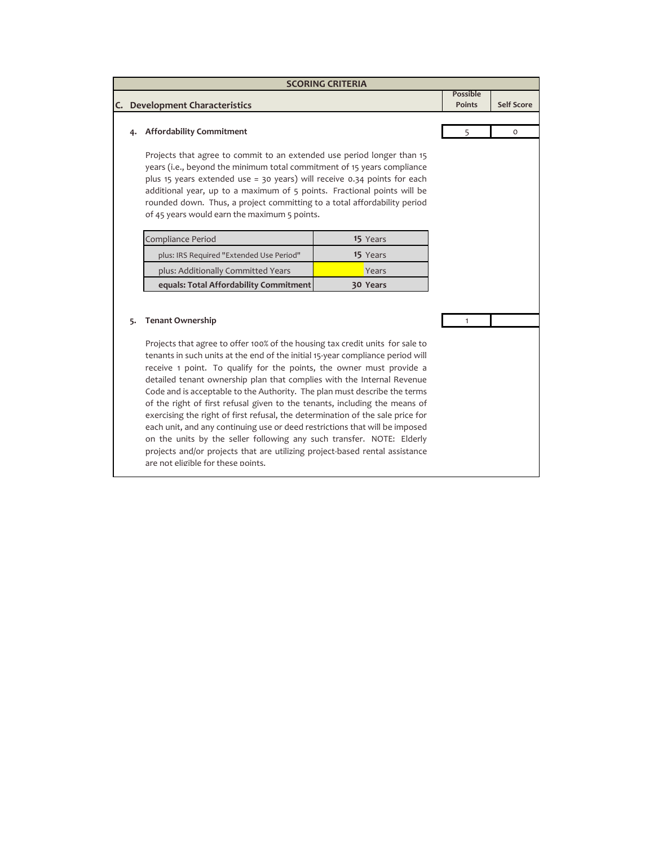| <b>SCORING CRITERIA</b>        |                                                                                                                                                                                                                                                                                                                                                                                                                                                                                                                                                                                                                                                                                                                                                                                                                                                                        |          |                                  |                   |  |
|--------------------------------|------------------------------------------------------------------------------------------------------------------------------------------------------------------------------------------------------------------------------------------------------------------------------------------------------------------------------------------------------------------------------------------------------------------------------------------------------------------------------------------------------------------------------------------------------------------------------------------------------------------------------------------------------------------------------------------------------------------------------------------------------------------------------------------------------------------------------------------------------------------------|----------|----------------------------------|-------------------|--|
|                                |                                                                                                                                                                                                                                                                                                                                                                                                                                                                                                                                                                                                                                                                                                                                                                                                                                                                        |          | <b>Possible</b><br><b>Points</b> | <b>Self Score</b> |  |
| C. Development Characteristics |                                                                                                                                                                                                                                                                                                                                                                                                                                                                                                                                                                                                                                                                                                                                                                                                                                                                        |          |                                  |                   |  |
| 4.                             | <b>Affordability Commitment</b>                                                                                                                                                                                                                                                                                                                                                                                                                                                                                                                                                                                                                                                                                                                                                                                                                                        |          | 5                                | $\circ$           |  |
|                                | Projects that agree to commit to an extended use period longer than 15<br>years (i.e., beyond the minimum total commitment of 15 years compliance<br>plus 15 years extended use = 30 years) will receive $0.34$ points for each<br>additional year, up to a maximum of 5 points. Fractional points will be<br>rounded down. Thus, a project committing to a total affordability period<br>of 45 years would earn the maximum 5 points.                                                                                                                                                                                                                                                                                                                                                                                                                                 |          |                                  |                   |  |
|                                | Compliance Period                                                                                                                                                                                                                                                                                                                                                                                                                                                                                                                                                                                                                                                                                                                                                                                                                                                      | 15 Years |                                  |                   |  |
|                                | plus: IRS Required "Extended Use Period"                                                                                                                                                                                                                                                                                                                                                                                                                                                                                                                                                                                                                                                                                                                                                                                                                               | 15 Years |                                  |                   |  |
|                                | plus: Additionally Committed Years                                                                                                                                                                                                                                                                                                                                                                                                                                                                                                                                                                                                                                                                                                                                                                                                                                     | Years    |                                  |                   |  |
|                                | equals: Total Affordability Commitment                                                                                                                                                                                                                                                                                                                                                                                                                                                                                                                                                                                                                                                                                                                                                                                                                                 | 30 Years |                                  |                   |  |
| 5.                             | <b>Tenant Ownership</b><br>Projects that agree to offer 100% of the housing tax credit units for sale to<br>tenants in such units at the end of the initial 15-year compliance period will<br>receive 1 point. To qualify for the points, the owner must provide a<br>detailed tenant ownership plan that complies with the Internal Revenue<br>Code and is acceptable to the Authority. The plan must describe the terms<br>of the right of first refusal given to the tenants, including the means of<br>exercising the right of first refusal, the determination of the sale price for<br>each unit, and any continuing use or deed restrictions that will be imposed<br>on the units by the seller following any such transfer. NOTE: Elderly<br>projects and/or projects that are utilizing project-based rental assistance<br>are not eligible for these points. |          | 1                                |                   |  |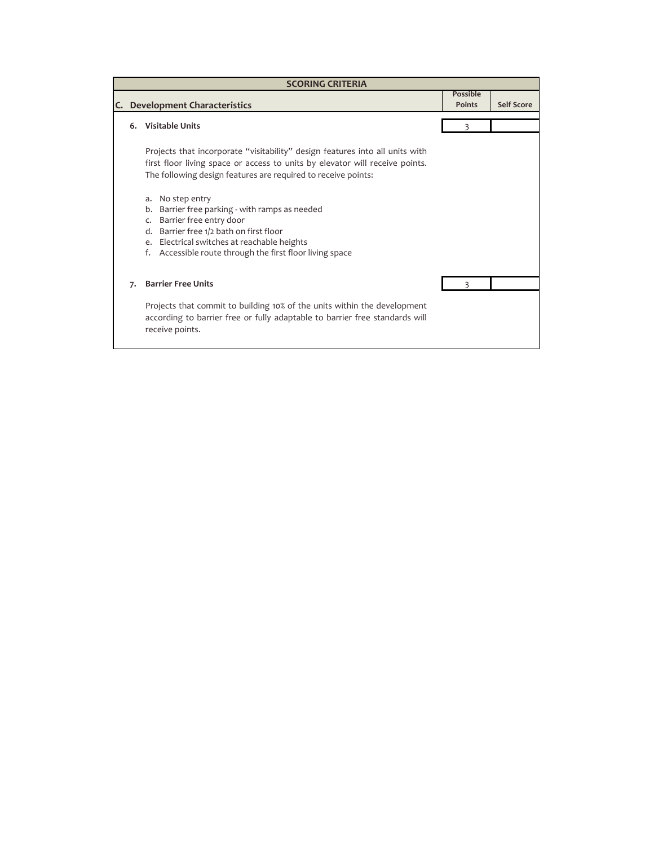|    | <b>SCORING CRITERIA</b> |                                                                                                                                                                                                                                                                                 |                           |                   |  |  |  |
|----|-------------------------|---------------------------------------------------------------------------------------------------------------------------------------------------------------------------------------------------------------------------------------------------------------------------------|---------------------------|-------------------|--|--|--|
| C. |                         | <b>Development Characteristics</b>                                                                                                                                                                                                                                              | Possible<br><b>Points</b> | <b>Self Score</b> |  |  |  |
|    |                         |                                                                                                                                                                                                                                                                                 |                           |                   |  |  |  |
|    |                         | 6. Visitable Units                                                                                                                                                                                                                                                              |                           |                   |  |  |  |
|    |                         | Projects that incorporate "visitability" design features into all units with<br>first floor living space or access to units by elevator will receive points.<br>The following design features are required to receive points:                                                   |                           |                   |  |  |  |
|    |                         | No step entry<br>a.<br>Barrier free parking - with ramps as needed<br>b.<br>Barrier free entry door<br>$\mathsf{C}$<br>d. Barrier free 1/2 bath on first floor<br>Electrical switches at reachable heights<br>e.<br>Accessible route through the first floor living space<br>f. |                           |                   |  |  |  |
|    | 7.                      | <b>Barrier Free Units</b>                                                                                                                                                                                                                                                       |                           |                   |  |  |  |
|    |                         | Projects that commit to building 10% of the units within the development<br>according to barrier free or fully adaptable to barrier free standards will<br>receive points.                                                                                                      |                           |                   |  |  |  |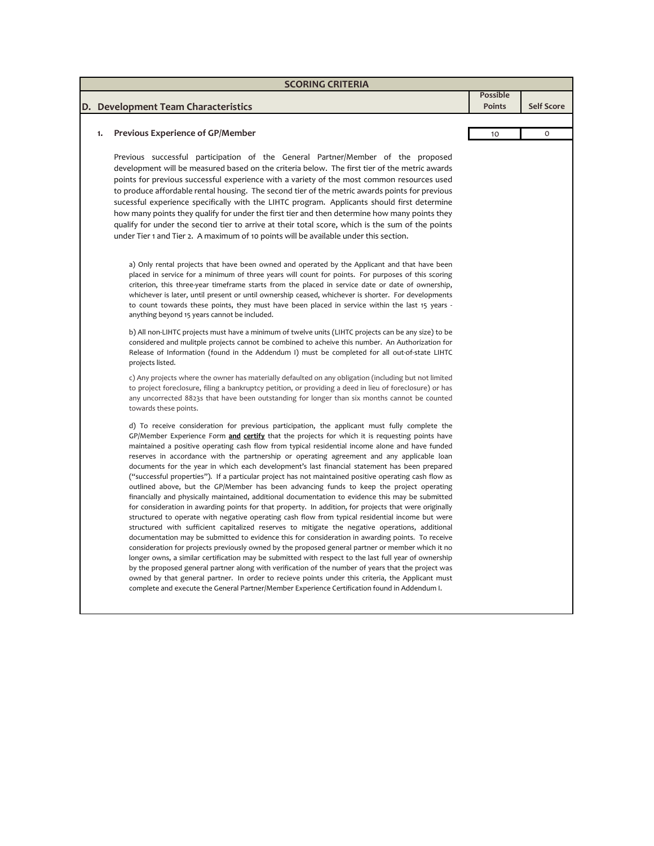|    | <b>SCORING CRITERIA</b>                                                                                                                                                                                                                                                                                                                                                                                                                                                                                                                                                                                                                                                                                                                                                                                                                                                                                                                                                                                                                                                                                                                                                                                                                                                                                                                                                                                                                                                                                                                                                                                                                                                                                                                                     |                                  |                   |
|----|-------------------------------------------------------------------------------------------------------------------------------------------------------------------------------------------------------------------------------------------------------------------------------------------------------------------------------------------------------------------------------------------------------------------------------------------------------------------------------------------------------------------------------------------------------------------------------------------------------------------------------------------------------------------------------------------------------------------------------------------------------------------------------------------------------------------------------------------------------------------------------------------------------------------------------------------------------------------------------------------------------------------------------------------------------------------------------------------------------------------------------------------------------------------------------------------------------------------------------------------------------------------------------------------------------------------------------------------------------------------------------------------------------------------------------------------------------------------------------------------------------------------------------------------------------------------------------------------------------------------------------------------------------------------------------------------------------------------------------------------------------------|----------------------------------|-------------------|
|    | D. Development Team Characteristics                                                                                                                                                                                                                                                                                                                                                                                                                                                                                                                                                                                                                                                                                                                                                                                                                                                                                                                                                                                                                                                                                                                                                                                                                                                                                                                                                                                                                                                                                                                                                                                                                                                                                                                         | <b>Possible</b><br><b>Points</b> | <b>Self Score</b> |
|    |                                                                                                                                                                                                                                                                                                                                                                                                                                                                                                                                                                                                                                                                                                                                                                                                                                                                                                                                                                                                                                                                                                                                                                                                                                                                                                                                                                                                                                                                                                                                                                                                                                                                                                                                                             |                                  |                   |
| 1. | <b>Previous Experience of GP/Member</b>                                                                                                                                                                                                                                                                                                                                                                                                                                                                                                                                                                                                                                                                                                                                                                                                                                                                                                                                                                                                                                                                                                                                                                                                                                                                                                                                                                                                                                                                                                                                                                                                                                                                                                                     | 10                               | O                 |
|    | Previous successful participation of the General Partner/Member of the proposed<br>development will be measured based on the criteria below. The first tier of the metric awards<br>points for previous successful experience with a variety of the most common resources used<br>to produce affordable rental housing. The second tier of the metric awards points for previous<br>sucessful experience specifically with the LIHTC program. Applicants should first determine<br>how many points they qualify for under the first tier and then determine how many points they<br>qualify for under the second tier to arrive at their total score, which is the sum of the points<br>under Tier 1 and Tier 2. A maximum of 10 points will be available under this section.                                                                                                                                                                                                                                                                                                                                                                                                                                                                                                                                                                                                                                                                                                                                                                                                                                                                                                                                                                               |                                  |                   |
|    | a) Only rental projects that have been owned and operated by the Applicant and that have been<br>placed in service for a minimum of three years will count for points. For purposes of this scoring<br>criterion, this three-year timeframe starts from the placed in service date or date of ownership,<br>whichever is later, until present or until ownership ceased, whichever is shorter. For developments<br>to count towards these points, they must have been placed in service within the last 15 years -<br>anything beyond 15 years cannot be included.                                                                                                                                                                                                                                                                                                                                                                                                                                                                                                                                                                                                                                                                                                                                                                                                                                                                                                                                                                                                                                                                                                                                                                                          |                                  |                   |
|    | b) All non-LIHTC projects must have a minimum of twelve units (LIHTC projects can be any size) to be<br>considered and mulitple projects cannot be combined to acheive this number. An Authorization for<br>Release of Information (found in the Addendum I) must be completed for all out-of-state LIHTC<br>projects listed.                                                                                                                                                                                                                                                                                                                                                                                                                                                                                                                                                                                                                                                                                                                                                                                                                                                                                                                                                                                                                                                                                                                                                                                                                                                                                                                                                                                                                               |                                  |                   |
|    | c) Any projects where the owner has materially defaulted on any obligation (including but not limited<br>to project foreclosure, filing a bankruptcy petition, or providing a deed in lieu of foreclosure) or has<br>any uncorrected 8823s that have been outstanding for longer than six months cannot be counted<br>towards these points.                                                                                                                                                                                                                                                                                                                                                                                                                                                                                                                                                                                                                                                                                                                                                                                                                                                                                                                                                                                                                                                                                                                                                                                                                                                                                                                                                                                                                 |                                  |                   |
|    | d) To receive consideration for previous participation, the applicant must fully complete the<br>GP/Member Experience Form and certify that the projects for which it is requesting points have<br>maintained a positive operating cash flow from typical residential income alone and have funded<br>reserves in accordance with the partnership or operating agreement and any applicable loan<br>documents for the year in which each development's last financial statement has been prepared<br>("successful properties"). If a particular project has not maintained positive operating cash flow as<br>outlined above, but the GP/Member has been advancing funds to keep the project operating<br>financially and physically maintained, additional documentation to evidence this may be submitted<br>for consideration in awarding points for that property. In addition, for projects that were originally<br>structured to operate with negative operating cash flow from typical residential income but were<br>structured with sufficient capitalized reserves to mitigate the negative operations, additional<br>documentation may be submitted to evidence this for consideration in awarding points. To receive<br>consideration for projects previously owned by the proposed general partner or member which it no<br>longer owns, a similar certification may be submitted with respect to the last full year of ownership<br>by the proposed general partner along with verification of the number of years that the project was<br>owned by that general partner. In order to recieve points under this criteria, the Applicant must<br>complete and execute the General Partner/Member Experience Certification found in Addendum I. |                                  |                   |

Π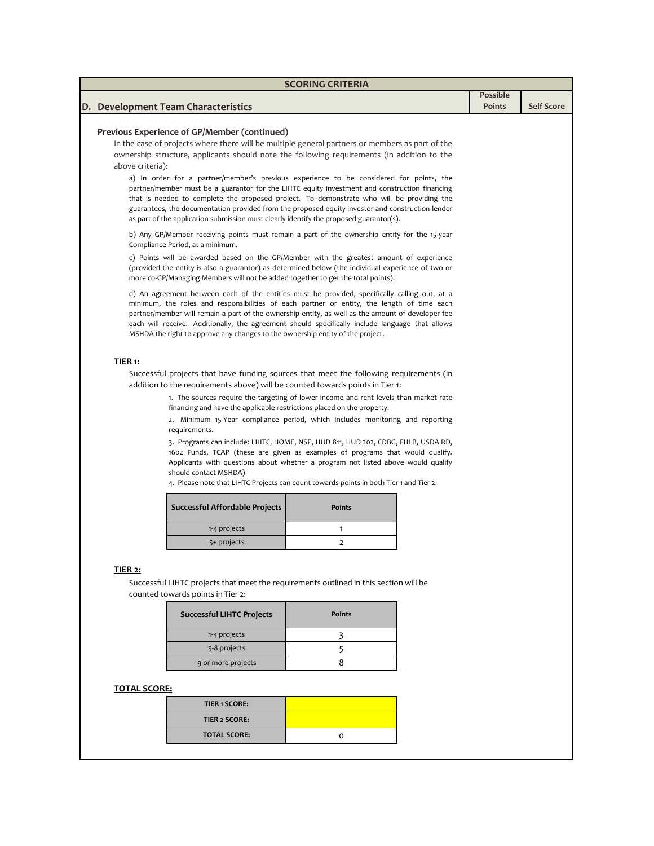| <b>SCORING CRITERIA</b>                                                                                                                                                                       |                                                                                        |                 |                   |  |  |  |
|-----------------------------------------------------------------------------------------------------------------------------------------------------------------------------------------------|----------------------------------------------------------------------------------------|-----------------|-------------------|--|--|--|
|                                                                                                                                                                                               |                                                                                        | <b>Possible</b> |                   |  |  |  |
| D. Development Team Characteristics                                                                                                                                                           |                                                                                        | <b>Points</b>   | <b>Self Score</b> |  |  |  |
|                                                                                                                                                                                               |                                                                                        |                 |                   |  |  |  |
| Previous Experience of GP/Member (continued)<br>In the case of projects where there will be multiple general partners or members as part of the                                               |                                                                                        |                 |                   |  |  |  |
| ownership structure, applicants should note the following requirements (in addition to the                                                                                                    |                                                                                        |                 |                   |  |  |  |
| above criteria):                                                                                                                                                                              |                                                                                        |                 |                   |  |  |  |
| a) In order for a partner/member's previous experience to be considered for points, the                                                                                                       |                                                                                        |                 |                   |  |  |  |
| partner/member must be a guarantor for the LIHTC equity investment and construction financing                                                                                                 |                                                                                        |                 |                   |  |  |  |
| that is needed to complete the proposed project. To demonstrate who will be providing the                                                                                                     |                                                                                        |                 |                   |  |  |  |
| guarantees, the documentation provided from the proposed equity investor and construction lender<br>as part of the application submission must clearly identify the proposed guarantor(s).    |                                                                                        |                 |                   |  |  |  |
| b) Any GP/Member receiving points must remain a part of the ownership entity for the 15-year                                                                                                  |                                                                                        |                 |                   |  |  |  |
| Compliance Period, at a minimum.                                                                                                                                                              |                                                                                        |                 |                   |  |  |  |
| c) Points will be awarded based on the GP/Member with the greatest amount of experience<br>(provided the entity is also a guarantor) as determined below (the individual experience of two or |                                                                                        |                 |                   |  |  |  |
| more co-GP/Managing Members will not be added together to get the total points).                                                                                                              |                                                                                        |                 |                   |  |  |  |
| d) An agreement between each of the entities must be provided, specifically calling out, at a                                                                                                 |                                                                                        |                 |                   |  |  |  |
| minimum, the roles and responsibilities of each partner or entity, the length of time each                                                                                                    |                                                                                        |                 |                   |  |  |  |
| partner/member will remain a part of the ownership entity, as well as the amount of developer fee                                                                                             |                                                                                        |                 |                   |  |  |  |
| each will receive. Additionally, the agreement should specifically include language that allows                                                                                               |                                                                                        |                 |                   |  |  |  |
| MSHDA the right to approve any changes to the ownership entity of the project.                                                                                                                |                                                                                        |                 |                   |  |  |  |
|                                                                                                                                                                                               |                                                                                        |                 |                   |  |  |  |
| TIER <sub>1</sub> :                                                                                                                                                                           |                                                                                        |                 |                   |  |  |  |
| Successful projects that have funding sources that meet the following requirements (in                                                                                                        |                                                                                        |                 |                   |  |  |  |
| addition to the requirements above) will be counted towards points in Tier 1:                                                                                                                 |                                                                                        |                 |                   |  |  |  |
| financing and have the applicable restrictions placed on the property.                                                                                                                        | 1. The sources require the targeting of lower income and rent levels than market rate  |                 |                   |  |  |  |
|                                                                                                                                                                                               | 2. Minimum 15-Year compliance period, which includes monitoring and reporting          |                 |                   |  |  |  |
| requirements.                                                                                                                                                                                 |                                                                                        |                 |                   |  |  |  |
|                                                                                                                                                                                               | 3. Programs can include: LIHTC, HOME, NSP, HUD 811, HUD 202, CDBG, FHLB, USDA RD,      |                 |                   |  |  |  |
|                                                                                                                                                                                               | 1602 Funds, TCAP (these are given as examples of programs that would qualify.          |                 |                   |  |  |  |
| should contact MSHDA)                                                                                                                                                                         | Applicants with questions about whether a program not listed above would qualify       |                 |                   |  |  |  |
|                                                                                                                                                                                               | 4. Please note that LIHTC Projects can count towards points in both Tier 1 and Tier 2. |                 |                   |  |  |  |
|                                                                                                                                                                                               |                                                                                        |                 |                   |  |  |  |
| Successful Affordable Projects                                                                                                                                                                | <b>Points</b>                                                                          |                 |                   |  |  |  |
|                                                                                                                                                                                               |                                                                                        |                 |                   |  |  |  |
| 1-4 projects                                                                                                                                                                                  | 1                                                                                      |                 |                   |  |  |  |
| 5+ projects                                                                                                                                                                                   | 2                                                                                      |                 |                   |  |  |  |
|                                                                                                                                                                                               |                                                                                        |                 |                   |  |  |  |
| TIER <sub>2</sub> :                                                                                                                                                                           |                                                                                        |                 |                   |  |  |  |
| Successful LIHTC projects that meet the requirements outlined in this section will be                                                                                                         |                                                                                        |                 |                   |  |  |  |
| counted towards points in Tier 2:                                                                                                                                                             |                                                                                        |                 |                   |  |  |  |
| <b>Successful LIHTC Projects</b>                                                                                                                                                              | <b>Points</b>                                                                          |                 |                   |  |  |  |
|                                                                                                                                                                                               |                                                                                        |                 |                   |  |  |  |
| 1-4 projects                                                                                                                                                                                  | 3                                                                                      |                 |                   |  |  |  |
| 5-8 projects                                                                                                                                                                                  | 5                                                                                      |                 |                   |  |  |  |
| 9 or more projects                                                                                                                                                                            | 8                                                                                      |                 |                   |  |  |  |
|                                                                                                                                                                                               |                                                                                        |                 |                   |  |  |  |
| <b>TOTAL SCORE:</b>                                                                                                                                                                           |                                                                                        |                 |                   |  |  |  |
| <b>TIER 1 SCORE:</b>                                                                                                                                                                          |                                                                                        |                 |                   |  |  |  |
| <b>TIER 2 SCORE:</b>                                                                                                                                                                          |                                                                                        |                 |                   |  |  |  |
| <b>TOTAL SCORE:</b>                                                                                                                                                                           | o                                                                                      |                 |                   |  |  |  |
|                                                                                                                                                                                               |                                                                                        |                 |                   |  |  |  |
|                                                                                                                                                                                               |                                                                                        |                 |                   |  |  |  |
|                                                                                                                                                                                               |                                                                                        |                 |                   |  |  |  |
|                                                                                                                                                                                               |                                                                                        |                 |                   |  |  |  |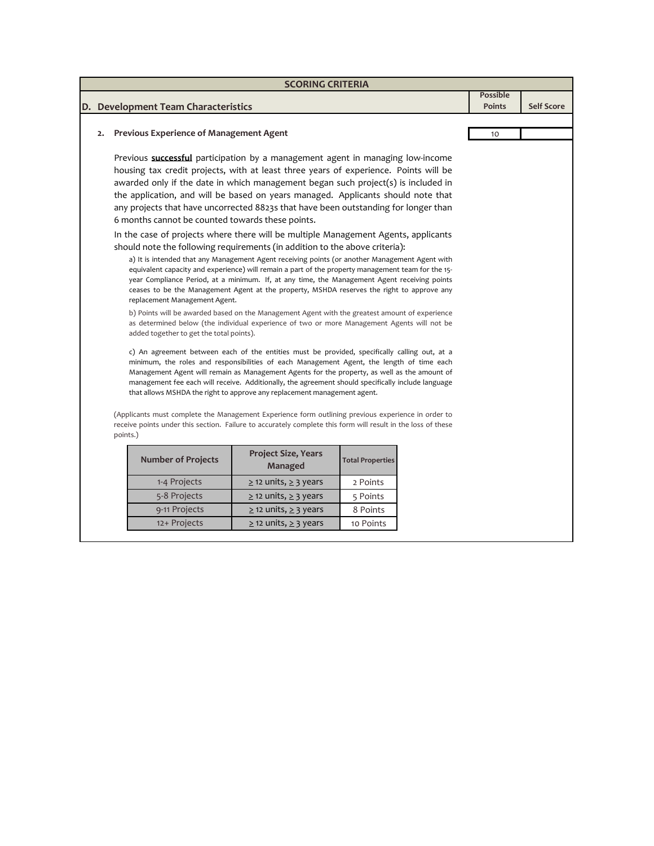| D. Development Team Characteristics<br>2. Previous Experience of Management Agent<br>Previous <b>successful</b> participation by a management agent in managing low-income<br>housing tax credit projects, with at least three years of experience. Points will be<br>awarded only if the date in which management began such project(s) is included in<br>the application, and will be based on years managed. Applicants should note that<br>any projects that have uncorrected 8823s that have been outstanding for longer than<br>6 months cannot be counted towards these points.<br>In the case of projects where there will be multiple Management Agents, applicants<br>should note the following requirements (in addition to the above criteria):<br>a) It is intended that any Management Agent receiving points (or another Management Agent with<br>equivalent capacity and experience) will remain a part of the property management team for the 15-<br>year Compliance Period, at a minimum. If, at any time, the Management Agent receiving points<br>ceases to be the Management Agent at the property, MSHDA reserves the right to approve any<br>replacement Management Agent.<br>b) Points will be awarded based on the Management Agent with the greatest amount of experience<br>as determined below (the individual experience of two or more Management Agents will not be<br>added together to get the total points).<br>c) An agreement between each of the entities must be provided, specifically calling out, at a<br>minimum, the roles and responsibilities of each Management Agent, the length of time each<br>Management Agent will remain as Management Agents for the property, as well as the amount of<br>management fee each will receive. Additionally, the agreement should specifically include language<br>that allows MSHDA the right to approve any replacement management agent.<br>(Applicants must complete the Management Experience form outlining previous experience in order to<br>receive points under this section. Failure to accurately complete this form will result in the loss of these<br>points.) |  | <b>SCORING CRITERIA</b> |  |                            |  |  |                                  |                   |
|-------------------------------------------------------------------------------------------------------------------------------------------------------------------------------------------------------------------------------------------------------------------------------------------------------------------------------------------------------------------------------------------------------------------------------------------------------------------------------------------------------------------------------------------------------------------------------------------------------------------------------------------------------------------------------------------------------------------------------------------------------------------------------------------------------------------------------------------------------------------------------------------------------------------------------------------------------------------------------------------------------------------------------------------------------------------------------------------------------------------------------------------------------------------------------------------------------------------------------------------------------------------------------------------------------------------------------------------------------------------------------------------------------------------------------------------------------------------------------------------------------------------------------------------------------------------------------------------------------------------------------------------------------------------------------------------------------------------------------------------------------------------------------------------------------------------------------------------------------------------------------------------------------------------------------------------------------------------------------------------------------------------------------------------------------------------------------------------------------------------------------------------------------------------|--|-------------------------|--|----------------------------|--|--|----------------------------------|-------------------|
|                                                                                                                                                                                                                                                                                                                                                                                                                                                                                                                                                                                                                                                                                                                                                                                                                                                                                                                                                                                                                                                                                                                                                                                                                                                                                                                                                                                                                                                                                                                                                                                                                                                                                                                                                                                                                                                                                                                                                                                                                                                                                                                                                                   |  |                         |  |                            |  |  | <b>Possible</b><br><b>Points</b> | <b>Self Score</b> |
|                                                                                                                                                                                                                                                                                                                                                                                                                                                                                                                                                                                                                                                                                                                                                                                                                                                                                                                                                                                                                                                                                                                                                                                                                                                                                                                                                                                                                                                                                                                                                                                                                                                                                                                                                                                                                                                                                                                                                                                                                                                                                                                                                                   |  |                         |  |                            |  |  | 10                               |                   |
|                                                                                                                                                                                                                                                                                                                                                                                                                                                                                                                                                                                                                                                                                                                                                                                                                                                                                                                                                                                                                                                                                                                                                                                                                                                                                                                                                                                                                                                                                                                                                                                                                                                                                                                                                                                                                                                                                                                                                                                                                                                                                                                                                                   |  |                         |  |                            |  |  |                                  |                   |
|                                                                                                                                                                                                                                                                                                                                                                                                                                                                                                                                                                                                                                                                                                                                                                                                                                                                                                                                                                                                                                                                                                                                                                                                                                                                                                                                                                                                                                                                                                                                                                                                                                                                                                                                                                                                                                                                                                                                                                                                                                                                                                                                                                   |  |                         |  |                            |  |  |                                  |                   |
|                                                                                                                                                                                                                                                                                                                                                                                                                                                                                                                                                                                                                                                                                                                                                                                                                                                                                                                                                                                                                                                                                                                                                                                                                                                                                                                                                                                                                                                                                                                                                                                                                                                                                                                                                                                                                                                                                                                                                                                                                                                                                                                                                                   |  |                         |  |                            |  |  |                                  |                   |
|                                                                                                                                                                                                                                                                                                                                                                                                                                                                                                                                                                                                                                                                                                                                                                                                                                                                                                                                                                                                                                                                                                                                                                                                                                                                                                                                                                                                                                                                                                                                                                                                                                                                                                                                                                                                                                                                                                                                                                                                                                                                                                                                                                   |  |                         |  |                            |  |  |                                  |                   |
| <b>Number of Projects</b><br><b>Total Properties</b><br>Managed                                                                                                                                                                                                                                                                                                                                                                                                                                                                                                                                                                                                                                                                                                                                                                                                                                                                                                                                                                                                                                                                                                                                                                                                                                                                                                                                                                                                                                                                                                                                                                                                                                                                                                                                                                                                                                                                                                                                                                                                                                                                                                   |  |                         |  | <b>Project Size, Years</b> |  |  |                                  |                   |
| 1-4 Projects<br>$\ge$ 12 units, $\ge$ 3 years<br>2 Points                                                                                                                                                                                                                                                                                                                                                                                                                                                                                                                                                                                                                                                                                                                                                                                                                                                                                                                                                                                                                                                                                                                                                                                                                                                                                                                                                                                                                                                                                                                                                                                                                                                                                                                                                                                                                                                                                                                                                                                                                                                                                                         |  |                         |  |                            |  |  |                                  |                   |
| 5-8 Projects<br>$\geq$ 12 units, $\geq$ 3 years<br>5 Points                                                                                                                                                                                                                                                                                                                                                                                                                                                                                                                                                                                                                                                                                                                                                                                                                                                                                                                                                                                                                                                                                                                                                                                                                                                                                                                                                                                                                                                                                                                                                                                                                                                                                                                                                                                                                                                                                                                                                                                                                                                                                                       |  |                         |  |                            |  |  |                                  |                   |
| 9-11 Projects<br>$\geq$ 12 units, $\geq$ 3 years<br>8 Points                                                                                                                                                                                                                                                                                                                                                                                                                                                                                                                                                                                                                                                                                                                                                                                                                                                                                                                                                                                                                                                                                                                                                                                                                                                                                                                                                                                                                                                                                                                                                                                                                                                                                                                                                                                                                                                                                                                                                                                                                                                                                                      |  |                         |  |                            |  |  |                                  |                   |
| $\geq$ 12 units, $\geq$ 3 years<br>12+ Projects<br>10 Points                                                                                                                                                                                                                                                                                                                                                                                                                                                                                                                                                                                                                                                                                                                                                                                                                                                                                                                                                                                                                                                                                                                                                                                                                                                                                                                                                                                                                                                                                                                                                                                                                                                                                                                                                                                                                                                                                                                                                                                                                                                                                                      |  |                         |  |                            |  |  |                                  |                   |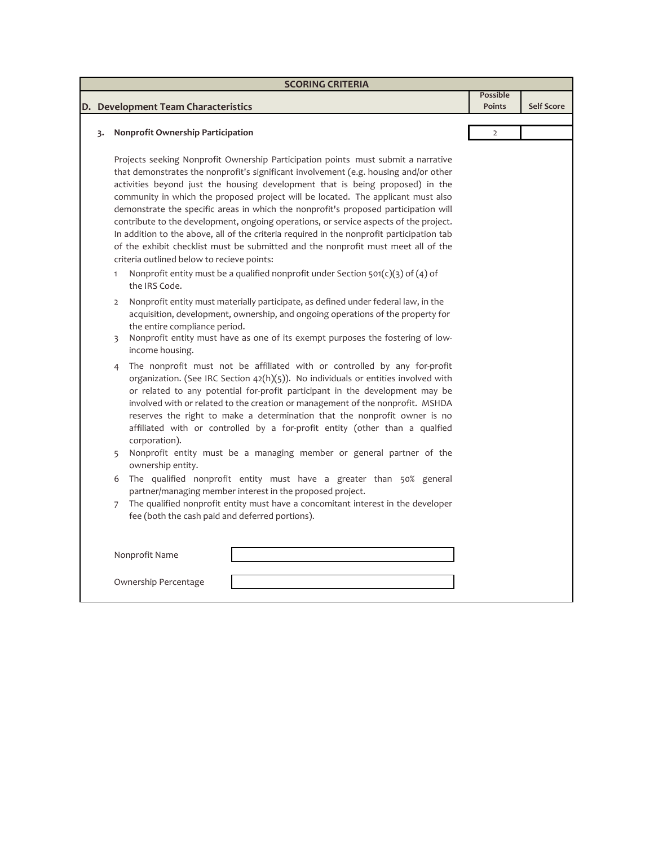|    |                | <b>SCORING CRITERIA</b>                                                                                                                                                                                                                                                                                                                                                                                                                                                                                                                                                                                                                                                                                                                                        |                                  |                   |
|----|----------------|----------------------------------------------------------------------------------------------------------------------------------------------------------------------------------------------------------------------------------------------------------------------------------------------------------------------------------------------------------------------------------------------------------------------------------------------------------------------------------------------------------------------------------------------------------------------------------------------------------------------------------------------------------------------------------------------------------------------------------------------------------------|----------------------------------|-------------------|
|    |                | D. Development Team Characteristics                                                                                                                                                                                                                                                                                                                                                                                                                                                                                                                                                                                                                                                                                                                            | <b>Possible</b><br><b>Points</b> | <b>Self Score</b> |
|    |                |                                                                                                                                                                                                                                                                                                                                                                                                                                                                                                                                                                                                                                                                                                                                                                |                                  |                   |
| 3. |                | Nonprofit Ownership Participation                                                                                                                                                                                                                                                                                                                                                                                                                                                                                                                                                                                                                                                                                                                              | $\overline{2}$                   |                   |
|    |                | Projects seeking Nonprofit Ownership Participation points must submit a narrative<br>that demonstrates the nonprofit's significant involvement (e.g. housing and/or other<br>activities beyond just the housing development that is being proposed) in the<br>community in which the proposed project will be located. The applicant must also<br>demonstrate the specific areas in which the nonprofit's proposed participation will<br>contribute to the development, ongoing operations, or service aspects of the project.<br>In addition to the above, all of the criteria required in the nonprofit participation tab<br>of the exhibit checklist must be submitted and the nonprofit must meet all of the<br>criteria outlined below to recieve points: |                                  |                   |
|    | 1              | Nonprofit entity must be a qualified nonprofit under Section $501(c)(3)$ of (4) of<br>the IRS Code.                                                                                                                                                                                                                                                                                                                                                                                                                                                                                                                                                                                                                                                            |                                  |                   |
|    | 2              | Nonprofit entity must materially participate, as defined under federal law, in the<br>acquisition, development, ownership, and ongoing operations of the property for<br>the entire compliance period.<br>Nonprofit entity must have as one of its exempt purposes the fostering of low-                                                                                                                                                                                                                                                                                                                                                                                                                                                                       |                                  |                   |
|    | 3              | income housing.                                                                                                                                                                                                                                                                                                                                                                                                                                                                                                                                                                                                                                                                                                                                                |                                  |                   |
|    | 4              | The nonprofit must not be affiliated with or controlled by any for-profit<br>organization. (See IRC Section 42(h)(5)). No individuals or entities involved with<br>or related to any potential for-profit participant in the development may be<br>involved with or related to the creation or management of the nonprofit. MSHDA<br>reserves the right to make a determination that the nonprofit owner is no<br>affiliated with or controlled by a for-profit entity (other than a qualfied<br>corporation).                                                                                                                                                                                                                                                 |                                  |                   |
|    | 5              | Nonprofit entity must be a managing member or general partner of the<br>ownership entity.                                                                                                                                                                                                                                                                                                                                                                                                                                                                                                                                                                                                                                                                      |                                  |                   |
|    | 6              | The qualified nonprofit entity must have a greater than 50% general<br>partner/managing member interest in the proposed project.                                                                                                                                                                                                                                                                                                                                                                                                                                                                                                                                                                                                                               |                                  |                   |
|    | $\overline{7}$ | The qualified nonprofit entity must have a concomitant interest in the developer<br>fee (both the cash paid and deferred portions).                                                                                                                                                                                                                                                                                                                                                                                                                                                                                                                                                                                                                            |                                  |                   |
|    |                | Nonprofit Name                                                                                                                                                                                                                                                                                                                                                                                                                                                                                                                                                                                                                                                                                                                                                 |                                  |                   |
|    |                | Ownership Percentage                                                                                                                                                                                                                                                                                                                                                                                                                                                                                                                                                                                                                                                                                                                                           |                                  |                   |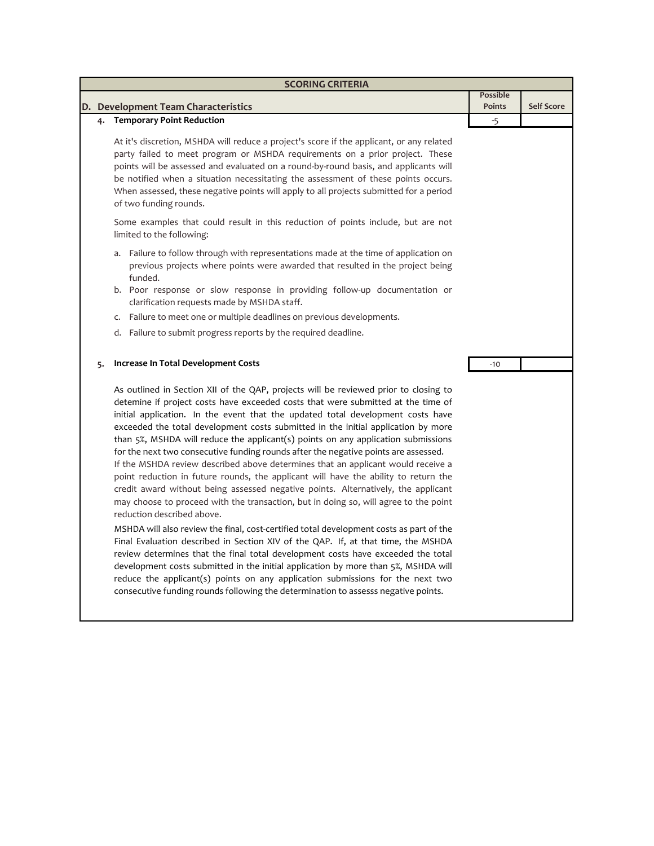| <b>SCORING CRITERIA</b> |                                                                                                                                                                                                                                                                                                                                                                                                                                                                                                                                                                                                                                                                                                                                                                                                                                                                                                                                                                                                                                                                                                                                                                                                                                                                                                                                                                                                                                                      |                                  |                   |  |  |
|-------------------------|------------------------------------------------------------------------------------------------------------------------------------------------------------------------------------------------------------------------------------------------------------------------------------------------------------------------------------------------------------------------------------------------------------------------------------------------------------------------------------------------------------------------------------------------------------------------------------------------------------------------------------------------------------------------------------------------------------------------------------------------------------------------------------------------------------------------------------------------------------------------------------------------------------------------------------------------------------------------------------------------------------------------------------------------------------------------------------------------------------------------------------------------------------------------------------------------------------------------------------------------------------------------------------------------------------------------------------------------------------------------------------------------------------------------------------------------------|----------------------------------|-------------------|--|--|
|                         | D. Development Team Characteristics                                                                                                                                                                                                                                                                                                                                                                                                                                                                                                                                                                                                                                                                                                                                                                                                                                                                                                                                                                                                                                                                                                                                                                                                                                                                                                                                                                                                                  | <b>Possible</b><br><b>Points</b> | <b>Self Score</b> |  |  |
| 4.                      | <b>Temporary Point Reduction</b>                                                                                                                                                                                                                                                                                                                                                                                                                                                                                                                                                                                                                                                                                                                                                                                                                                                                                                                                                                                                                                                                                                                                                                                                                                                                                                                                                                                                                     | $-5$                             |                   |  |  |
|                         | At it's discretion, MSHDA will reduce a project's score if the applicant, or any related<br>party failed to meet program or MSHDA requirements on a prior project. These<br>points will be assessed and evaluated on a round-by-round basis, and applicants will<br>be notified when a situation necessitating the assessment of these points occurs.<br>When assessed, these negative points will apply to all projects submitted for a period<br>of two funding rounds.                                                                                                                                                                                                                                                                                                                                                                                                                                                                                                                                                                                                                                                                                                                                                                                                                                                                                                                                                                            |                                  |                   |  |  |
|                         | Some examples that could result in this reduction of points include, but are not<br>limited to the following:                                                                                                                                                                                                                                                                                                                                                                                                                                                                                                                                                                                                                                                                                                                                                                                                                                                                                                                                                                                                                                                                                                                                                                                                                                                                                                                                        |                                  |                   |  |  |
|                         | Failure to follow through with representations made at the time of application on<br>a.<br>previous projects where points were awarded that resulted in the project being<br>funded.                                                                                                                                                                                                                                                                                                                                                                                                                                                                                                                                                                                                                                                                                                                                                                                                                                                                                                                                                                                                                                                                                                                                                                                                                                                                 |                                  |                   |  |  |
|                         | b. Poor response or slow response in providing follow-up documentation or<br>clarification requests made by MSHDA staff.                                                                                                                                                                                                                                                                                                                                                                                                                                                                                                                                                                                                                                                                                                                                                                                                                                                                                                                                                                                                                                                                                                                                                                                                                                                                                                                             |                                  |                   |  |  |
|                         | c. Failure to meet one or multiple deadlines on previous developments.                                                                                                                                                                                                                                                                                                                                                                                                                                                                                                                                                                                                                                                                                                                                                                                                                                                                                                                                                                                                                                                                                                                                                                                                                                                                                                                                                                               |                                  |                   |  |  |
|                         | d. Failure to submit progress reports by the required deadline.                                                                                                                                                                                                                                                                                                                                                                                                                                                                                                                                                                                                                                                                                                                                                                                                                                                                                                                                                                                                                                                                                                                                                                                                                                                                                                                                                                                      |                                  |                   |  |  |
| 5.                      | Increase In Total Development Costs                                                                                                                                                                                                                                                                                                                                                                                                                                                                                                                                                                                                                                                                                                                                                                                                                                                                                                                                                                                                                                                                                                                                                                                                                                                                                                                                                                                                                  | $-10$                            |                   |  |  |
|                         | As outlined in Section XII of the QAP, projects will be reviewed prior to closing to<br>detemine if project costs have exceeded costs that were submitted at the time of<br>initial application. In the event that the updated total development costs have<br>exceeded the total development costs submitted in the initial application by more<br>than 5%, MSHDA will reduce the applicant(s) points on any application submissions<br>for the next two consecutive funding rounds after the negative points are assessed.<br>If the MSHDA review described above determines that an applicant would receive a<br>point reduction in future rounds, the applicant will have the ability to return the<br>credit award without being assessed negative points. Alternatively, the applicant<br>may choose to proceed with the transaction, but in doing so, will agree to the point<br>reduction described above.<br>MSHDA will also review the final, cost-certified total development costs as part of the<br>Final Evaluation described in Section XIV of the QAP. If, at that time, the MSHDA<br>review determines that the final total development costs have exceeded the total<br>development costs submitted in the initial application by more than 5%, MSHDA will<br>reduce the applicant(s) points on any application submissions for the next two<br>consecutive funding rounds following the determination to assesss negative points. |                                  |                   |  |  |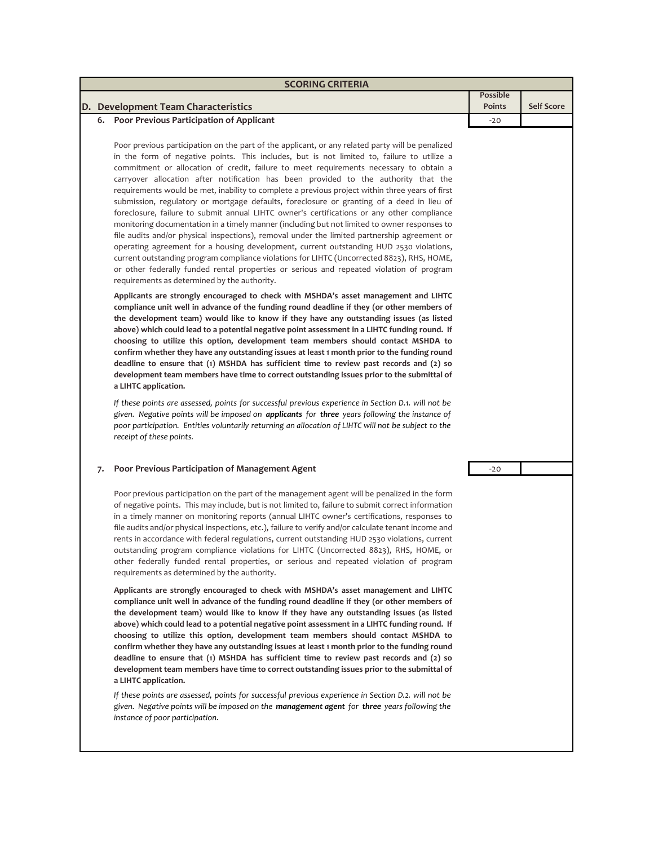| <b>SCORING CRITERIA</b>                                                                                                                                                                                                                                                                                                                                                                                                                                                                                                                                                                                                                                                                                                                                                                                                                                                                                                                                                                                                                                                                                                                                                                                            |                 |                   |  |  |  |  |
|--------------------------------------------------------------------------------------------------------------------------------------------------------------------------------------------------------------------------------------------------------------------------------------------------------------------------------------------------------------------------------------------------------------------------------------------------------------------------------------------------------------------------------------------------------------------------------------------------------------------------------------------------------------------------------------------------------------------------------------------------------------------------------------------------------------------------------------------------------------------------------------------------------------------------------------------------------------------------------------------------------------------------------------------------------------------------------------------------------------------------------------------------------------------------------------------------------------------|-----------------|-------------------|--|--|--|--|
|                                                                                                                                                                                                                                                                                                                                                                                                                                                                                                                                                                                                                                                                                                                                                                                                                                                                                                                                                                                                                                                                                                                                                                                                                    | <b>Possible</b> |                   |  |  |  |  |
| D. Development Team Characteristics                                                                                                                                                                                                                                                                                                                                                                                                                                                                                                                                                                                                                                                                                                                                                                                                                                                                                                                                                                                                                                                                                                                                                                                | <b>Points</b>   | <b>Self Score</b> |  |  |  |  |
| 6. Poor Previous Participation of Applicant                                                                                                                                                                                                                                                                                                                                                                                                                                                                                                                                                                                                                                                                                                                                                                                                                                                                                                                                                                                                                                                                                                                                                                        | $-20$           |                   |  |  |  |  |
| Poor previous participation on the part of the applicant, or any related party will be penalized<br>in the form of negative points. This includes, but is not limited to, failure to utilize a<br>commitment or allocation of credit, failure to meet requirements necessary to obtain a<br>carryover allocation after notification has been provided to the authority that the<br>requirements would be met, inability to complete a previous project within three years of first<br>submission, regulatory or mortgage defaults, foreclosure or granting of a deed in lieu of<br>foreclosure, failure to submit annual LIHTC owner's certifications or any other compliance<br>monitoring documentation in a timely manner (including but not limited to owner responses to<br>file audits and/or physical inspections), removal under the limited partnership agreement or<br>operating agreement for a housing development, current outstanding HUD 2530 violations,<br>current outstanding program compliance violations for LIHTC (Uncorrected 8823), RHS, HOME,<br>or other federally funded rental properties or serious and repeated violation of program<br>requirements as determined by the authority. |                 |                   |  |  |  |  |
| Applicants are strongly encouraged to check with MSHDA's asset management and LIHTC<br>compliance unit well in advance of the funding round deadline if they (or other members of<br>the development team) would like to know if they have any outstanding issues (as listed<br>above) which could lead to a potential negative point assessment in a LIHTC funding round. If<br>choosing to utilize this option, development team members should contact MSHDA to<br>confirm whether they have any outstanding issues at least 1 month prior to the funding round<br>deadline to ensure that $(1)$ MSHDA has sufficient time to review past records and $(2)$ so<br>development team members have time to correct outstanding issues prior to the submittal of<br>a LIHTC application.                                                                                                                                                                                                                                                                                                                                                                                                                            |                 |                   |  |  |  |  |
| If these points are assessed, points for successful previous experience in Section D.1. will not be<br>given. Negative points will be imposed on <b>applicants</b> for three years following the instance of<br>poor participation. Entities voluntarily returning an allocation of LIHTC will not be subject to the<br>receipt of these points.                                                                                                                                                                                                                                                                                                                                                                                                                                                                                                                                                                                                                                                                                                                                                                                                                                                                   |                 |                   |  |  |  |  |
| Poor Previous Participation of Management Agent<br>7.                                                                                                                                                                                                                                                                                                                                                                                                                                                                                                                                                                                                                                                                                                                                                                                                                                                                                                                                                                                                                                                                                                                                                              | $-20$           |                   |  |  |  |  |
| Poor previous participation on the part of the management agent will be penalized in the form<br>of negative points. This may include, but is not limited to, failure to submit correct information<br>in a timely manner on monitoring reports (annual LIHTC owner's certifications, responses to<br>file audits and/or physical inspections, etc.), failure to verify and/or calculate tenant income and<br>rents in accordance with federal regulations, current outstanding HUD 2530 violations, current<br>outstanding program compliance violations for LIHTC (Uncorrected 8823), RHS, HOME, or<br>other federally funded rental properties, or serious and repeated violation of program<br>requirements as determined by the authority.                                                                                                                                                                                                                                                                                                                                                                                                                                                                    |                 |                   |  |  |  |  |

**Applicants are strongly encouraged to check with MSHDA's asset management and LIHTC compliance unit well in advance of the funding round deadline if they (or other members of the development team) would like to know if they have any outstanding issues (as listed above) which could lead to a potential negative point assessment in a LIHTC funding round. If choosing to utilize this option, development team members should contact MSHDA to confirm whether they have any outstanding issues at least 1 month prior to the funding round deadline to ensure that (1) MSHDA has sufficient time to review past records and (2) so development team members have time to correct outstanding issues prior to the submittal of a LIHTC application.**

*If these points are assessed, points for successful previous experience in Section D.2. will not be given. Negative points will be imposed on the management agent for three years following the instance of poor participation.*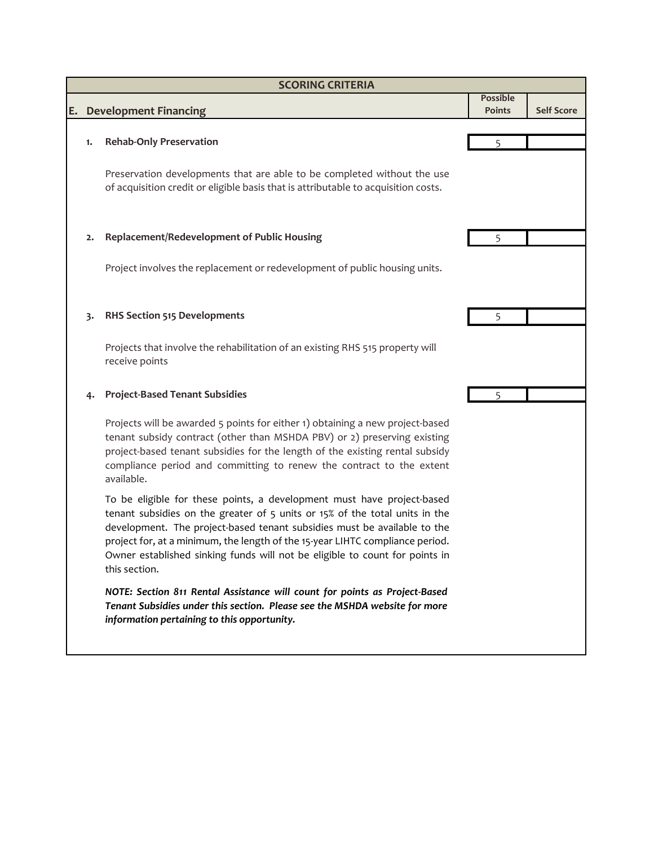|    | <b>SCORING CRITERIA</b> |                                                                                                                                                                                                                                                                                                                                                                                                                    |                 |                   |  |  |
|----|-------------------------|--------------------------------------------------------------------------------------------------------------------------------------------------------------------------------------------------------------------------------------------------------------------------------------------------------------------------------------------------------------------------------------------------------------------|-----------------|-------------------|--|--|
|    |                         |                                                                                                                                                                                                                                                                                                                                                                                                                    | <b>Possible</b> |                   |  |  |
| Ε. |                         | <b>Development Financing</b>                                                                                                                                                                                                                                                                                                                                                                                       | Points          | <b>Self Score</b> |  |  |
|    | 1.                      | <b>Rehab-Only Preservation</b>                                                                                                                                                                                                                                                                                                                                                                                     |                 |                   |  |  |
|    |                         |                                                                                                                                                                                                                                                                                                                                                                                                                    |                 |                   |  |  |
|    |                         | Preservation developments that are able to be completed without the use<br>of acquisition credit or eligible basis that is attributable to acquisition costs.                                                                                                                                                                                                                                                      |                 |                   |  |  |
|    | 2.                      | Replacement/Redevelopment of Public Housing                                                                                                                                                                                                                                                                                                                                                                        | 5               |                   |  |  |
|    |                         | Project involves the replacement or redevelopment of public housing units.                                                                                                                                                                                                                                                                                                                                         |                 |                   |  |  |
|    | 3.                      | <b>RHS Section 515 Developments</b>                                                                                                                                                                                                                                                                                                                                                                                | 5               |                   |  |  |
|    |                         | Projects that involve the rehabilitation of an existing RHS 515 property will<br>receive points                                                                                                                                                                                                                                                                                                                    |                 |                   |  |  |
|    |                         | <b>Project-Based Tenant Subsidies</b>                                                                                                                                                                                                                                                                                                                                                                              |                 |                   |  |  |
|    |                         | Projects will be awarded 5 points for either 1) obtaining a new project-based<br>tenant subsidy contract (other than MSHDA PBV) or 2) preserving existing<br>project-based tenant subsidies for the length of the existing rental subsidy<br>compliance period and committing to renew the contract to the extent<br>available.                                                                                    |                 |                   |  |  |
|    |                         | To be eligible for these points, a development must have project-based<br>tenant subsidies on the greater of 5 units or 15% of the total units in the<br>development. The project-based tenant subsidies must be available to the<br>project for, at a minimum, the length of the 15-year LIHTC compliance period.<br>Owner established sinking funds will not be eligible to count for points in<br>this section. |                 |                   |  |  |
|    |                         | NOTE: Section 811 Rental Assistance will count for points as Project-Based<br>Tenant Subsidies under this section. Please see the MSHDA website for more<br>information pertaining to this opportunity.                                                                                                                                                                                                            |                 |                   |  |  |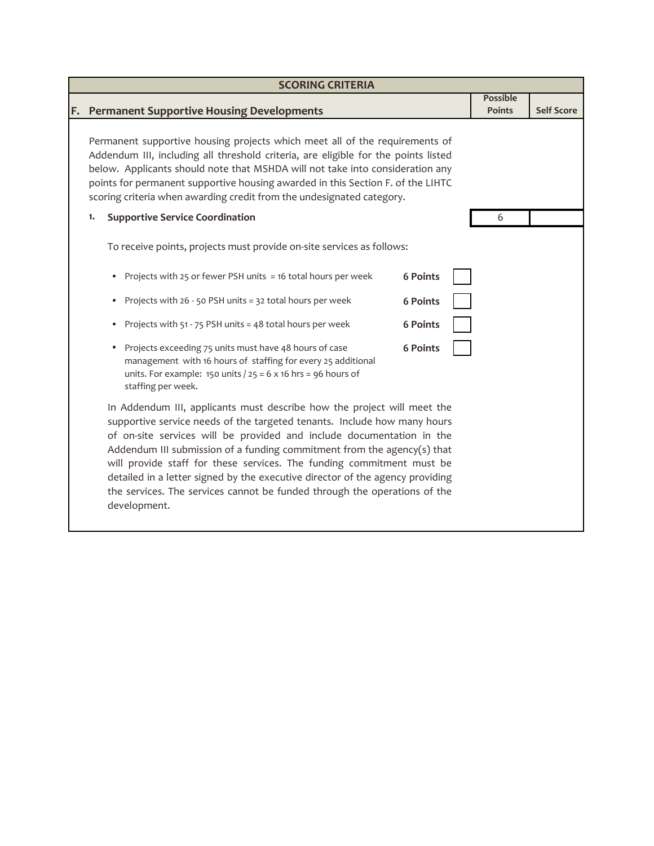|    | <b>SCORING CRITERIA</b>                                                                                                                                                                                                                                                                                                                                                                                                                                                                                                                                        |                                  |                   |  |  |  |  |
|----|----------------------------------------------------------------------------------------------------------------------------------------------------------------------------------------------------------------------------------------------------------------------------------------------------------------------------------------------------------------------------------------------------------------------------------------------------------------------------------------------------------------------------------------------------------------|----------------------------------|-------------------|--|--|--|--|
| F. | <b>Permanent Supportive Housing Developments</b>                                                                                                                                                                                                                                                                                                                                                                                                                                                                                                               | <b>Possible</b><br><b>Points</b> | <b>Self Score</b> |  |  |  |  |
|    | Permanent supportive housing projects which meet all of the requirements of<br>Addendum III, including all threshold criteria, are eligible for the points listed<br>below. Applicants should note that MSHDA will not take into consideration any<br>points for permanent supportive housing awarded in this Section F. of the LIHTC<br>scoring criteria when awarding credit from the undesignated category.                                                                                                                                                 |                                  |                   |  |  |  |  |
|    | <b>Supportive Service Coordination</b><br>1.                                                                                                                                                                                                                                                                                                                                                                                                                                                                                                                   | 6                                |                   |  |  |  |  |
|    | To receive points, projects must provide on-site services as follows:                                                                                                                                                                                                                                                                                                                                                                                                                                                                                          |                                  |                   |  |  |  |  |
|    | Projects with 25 or fewer PSH units = 16 total hours per week<br>6 Points<br>$\bullet$                                                                                                                                                                                                                                                                                                                                                                                                                                                                         |                                  |                   |  |  |  |  |
|    | Projects with 26 - 50 PSH units = 32 total hours per week<br>6 Points<br>۰                                                                                                                                                                                                                                                                                                                                                                                                                                                                                     |                                  |                   |  |  |  |  |
|    | Projects with 51 - 75 PSH units = 48 total hours per week<br>6 Points<br>۰                                                                                                                                                                                                                                                                                                                                                                                                                                                                                     |                                  |                   |  |  |  |  |
|    | Projects exceeding 75 units must have 48 hours of case<br>6 Points<br>$\bullet$<br>management with 16 hours of staffing for every 25 additional<br>units. For example: 150 units $/25 = 6 \times 16$ hrs = 96 hours of<br>staffing per week.                                                                                                                                                                                                                                                                                                                   |                                  |                   |  |  |  |  |
|    | In Addendum III, applicants must describe how the project will meet the<br>supportive service needs of the targeted tenants. Include how many hours<br>of on-site services will be provided and include documentation in the<br>Addendum III submission of a funding commitment from the agency(s) that<br>will provide staff for these services. The funding commitment must be<br>detailed in a letter signed by the executive director of the agency providing<br>the services. The services cannot be funded through the operations of the<br>development. |                                  |                   |  |  |  |  |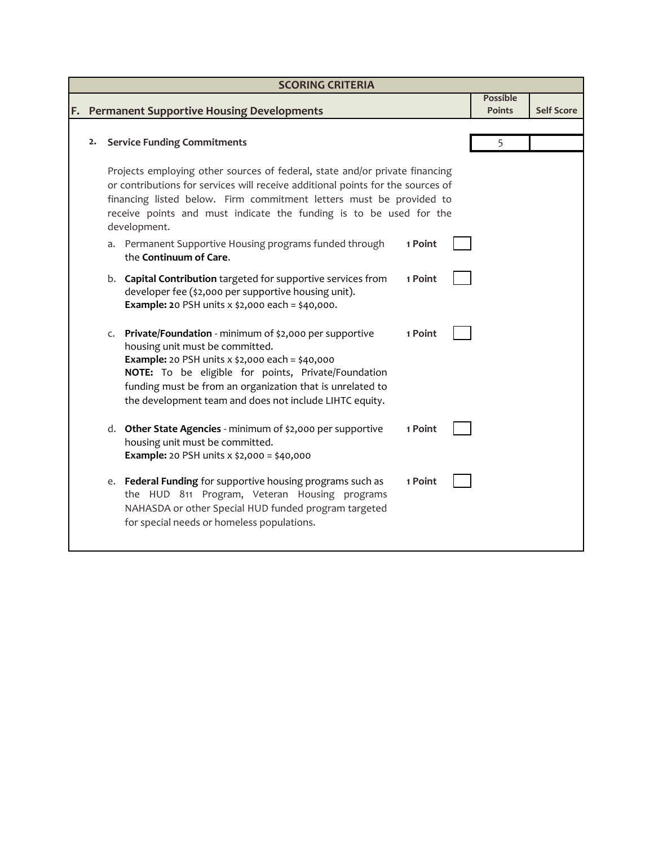|    |                                                           |                                                                                                                                                                                                                                                                                                                                                                                                                                                                                                                                                                                                                                                                                                                                                                                                              |                               | <b>Possible</b>                                                                                                                                                                                                                                                                                             |                   |
|----|-----------------------------------------------------------|--------------------------------------------------------------------------------------------------------------------------------------------------------------------------------------------------------------------------------------------------------------------------------------------------------------------------------------------------------------------------------------------------------------------------------------------------------------------------------------------------------------------------------------------------------------------------------------------------------------------------------------------------------------------------------------------------------------------------------------------------------------------------------------------------------------|-------------------------------|-------------------------------------------------------------------------------------------------------------------------------------------------------------------------------------------------------------------------------------------------------------------------------------------------------------|-------------------|
|    |                                                           |                                                                                                                                                                                                                                                                                                                                                                                                                                                                                                                                                                                                                                                                                                                                                                                                              |                               |                                                                                                                                                                                                                                                                                                             | <b>Self Score</b> |
|    |                                                           |                                                                                                                                                                                                                                                                                                                                                                                                                                                                                                                                                                                                                                                                                                                                                                                                              |                               |                                                                                                                                                                                                                                                                                                             |                   |
| 2. |                                                           |                                                                                                                                                                                                                                                                                                                                                                                                                                                                                                                                                                                                                                                                                                                                                                                                              |                               | 5                                                                                                                                                                                                                                                                                                           |                   |
|    |                                                           |                                                                                                                                                                                                                                                                                                                                                                                                                                                                                                                                                                                                                                                                                                                                                                                                              |                               |                                                                                                                                                                                                                                                                                                             |                   |
|    |                                                           |                                                                                                                                                                                                                                                                                                                                                                                                                                                                                                                                                                                                                                                                                                                                                                                                              |                               |                                                                                                                                                                                                                                                                                                             |                   |
|    |                                                           |                                                                                                                                                                                                                                                                                                                                                                                                                                                                                                                                                                                                                                                                                                                                                                                                              |                               |                                                                                                                                                                                                                                                                                                             |                   |
|    |                                                           |                                                                                                                                                                                                                                                                                                                                                                                                                                                                                                                                                                                                                                                                                                                                                                                                              |                               |                                                                                                                                                                                                                                                                                                             |                   |
|    |                                                           |                                                                                                                                                                                                                                                                                                                                                                                                                                                                                                                                                                                                                                                                                                                                                                                                              |                               |                                                                                                                                                                                                                                                                                                             |                   |
|    |                                                           |                                                                                                                                                                                                                                                                                                                                                                                                                                                                                                                                                                                                                                                                                                                                                                                                              |                               |                                                                                                                                                                                                                                                                                                             |                   |
|    |                                                           |                                                                                                                                                                                                                                                                                                                                                                                                                                                                                                                                                                                                                                                                                                                                                                                                              |                               |                                                                                                                                                                                                                                                                                                             |                   |
|    |                                                           |                                                                                                                                                                                                                                                                                                                                                                                                                                                                                                                                                                                                                                                                                                                                                                                                              |                               |                                                                                                                                                                                                                                                                                                             |                   |
|    |                                                           | 1 Point                                                                                                                                                                                                                                                                                                                                                                                                                                                                                                                                                                                                                                                                                                                                                                                                      |                               |                                                                                                                                                                                                                                                                                                             |                   |
|    |                                                           |                                                                                                                                                                                                                                                                                                                                                                                                                                                                                                                                                                                                                                                                                                                                                                                                              |                               |                                                                                                                                                                                                                                                                                                             |                   |
|    |                                                           |                                                                                                                                                                                                                                                                                                                                                                                                                                                                                                                                                                                                                                                                                                                                                                                                              |                               |                                                                                                                                                                                                                                                                                                             |                   |
|    |                                                           |                                                                                                                                                                                                                                                                                                                                                                                                                                                                                                                                                                                                                                                                                                                                                                                                              |                               |                                                                                                                                                                                                                                                                                                             |                   |
|    |                                                           |                                                                                                                                                                                                                                                                                                                                                                                                                                                                                                                                                                                                                                                                                                                                                                                                              |                               |                                                                                                                                                                                                                                                                                                             |                   |
|    |                                                           |                                                                                                                                                                                                                                                                                                                                                                                                                                                                                                                                                                                                                                                                                                                                                                                                              |                               |                                                                                                                                                                                                                                                                                                             |                   |
|    | NOTE: To be eligible for points, Private/Foundation       |                                                                                                                                                                                                                                                                                                                                                                                                                                                                                                                                                                                                                                                                                                                                                                                                              |                               |                                                                                                                                                                                                                                                                                                             |                   |
|    | funding must be from an organization that is unrelated to |                                                                                                                                                                                                                                                                                                                                                                                                                                                                                                                                                                                                                                                                                                                                                                                                              |                               |                                                                                                                                                                                                                                                                                                             |                   |
|    | the development team and does not include LIHTC equity.   |                                                                                                                                                                                                                                                                                                                                                                                                                                                                                                                                                                                                                                                                                                                                                                                                              |                               |                                                                                                                                                                                                                                                                                                             |                   |
|    |                                                           |                                                                                                                                                                                                                                                                                                                                                                                                                                                                                                                                                                                                                                                                                                                                                                                                              |                               |                                                                                                                                                                                                                                                                                                             |                   |
|    |                                                           |                                                                                                                                                                                                                                                                                                                                                                                                                                                                                                                                                                                                                                                                                                                                                                                                              |                               |                                                                                                                                                                                                                                                                                                             |                   |
|    |                                                           |                                                                                                                                                                                                                                                                                                                                                                                                                                                                                                                                                                                                                                                                                                                                                                                                              |                               |                                                                                                                                                                                                                                                                                                             |                   |
|    |                                                           |                                                                                                                                                                                                                                                                                                                                                                                                                                                                                                                                                                                                                                                                                                                                                                                                              |                               |                                                                                                                                                                                                                                                                                                             |                   |
|    |                                                           | 1 Point                                                                                                                                                                                                                                                                                                                                                                                                                                                                                                                                                                                                                                                                                                                                                                                                      |                               |                                                                                                                                                                                                                                                                                                             |                   |
|    | the HUD 811 Program, Veteran Housing programs             |                                                                                                                                                                                                                                                                                                                                                                                                                                                                                                                                                                                                                                                                                                                                                                                                              |                               |                                                                                                                                                                                                                                                                                                             |                   |
|    | NAHASDA or other Special HUD funded program targeted      |                                                                                                                                                                                                                                                                                                                                                                                                                                                                                                                                                                                                                                                                                                                                                                                                              |                               |                                                                                                                                                                                                                                                                                                             |                   |
|    |                                                           |                                                                                                                                                                                                                                                                                                                                                                                                                                                                                                                                                                                                                                                                                                                                                                                                              |                               |                                                                                                                                                                                                                                                                                                             |                   |
|    |                                                           |                                                                                                                                                                                                                                                                                                                                                                                                                                                                                                                                                                                                                                                                                                                                                                                                              |                               |                                                                                                                                                                                                                                                                                                             |                   |
|    | C.                                                        | <b>Permanent Supportive Housing Developments</b><br><b>Service Funding Commitments</b><br>development.<br>a. Permanent Supportive Housing programs funded through<br>the Continuum of Care.<br>b. Capital Contribution targeted for supportive services from<br>developer fee (\$2,000 per supportive housing unit).<br><b>Example: 2</b> 0 PSH units $x$ \$2,000 each = \$40,000.<br>Private/Foundation - minimum of \$2,000 per supportive<br>housing unit must be committed.<br><b>Example:</b> 20 PSH units x \$2,000 each = \$40,000<br>d. Other State Agencies - minimum of \$2,000 per supportive<br>housing unit must be committed.<br><b>Example:</b> 20 PSH units x \$2,000 = \$40,000<br>e. Federal Funding for supportive housing programs such as<br>for special needs or homeless populations. | 1 Point<br>1 Point<br>1 Point | Projects employing other sources of federal, state and/or private financing<br>or contributions for services will receive additional points for the sources of<br>financing listed below. Firm commitment letters must be provided to<br>receive points and must indicate the funding is to be used for the | <b>Points</b>     |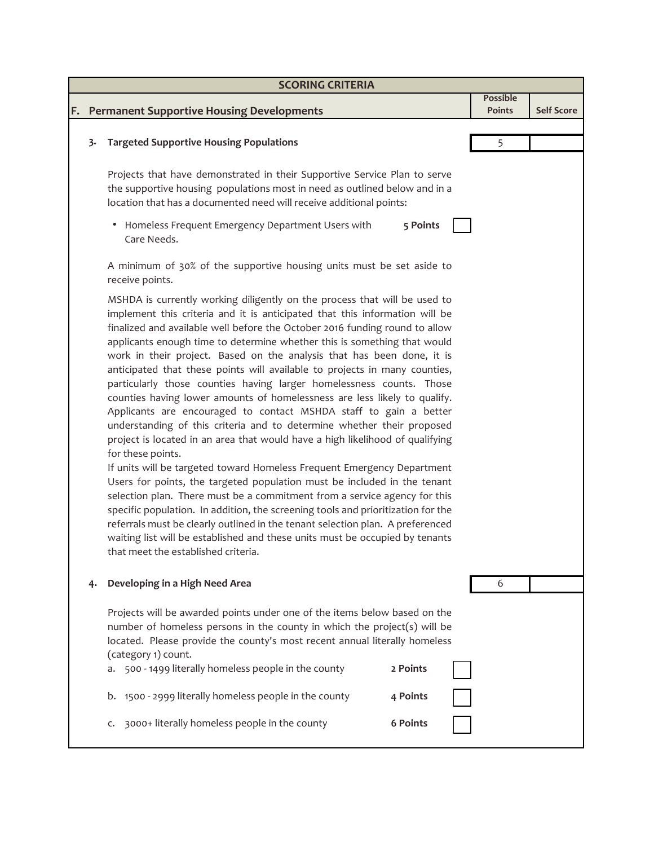|    | <b>SCORING CRITERIA</b>                                                                  |                                                                                                                                                                                                                                                                                                                                                                                                                                                                                                                                                                                                                                                                                                                                                                                                                                                                                                                                                                                                                                                                                                                                                                                                                                                                                                                                                                                                                        |                                  |                   |  |  |  |  |
|----|------------------------------------------------------------------------------------------|------------------------------------------------------------------------------------------------------------------------------------------------------------------------------------------------------------------------------------------------------------------------------------------------------------------------------------------------------------------------------------------------------------------------------------------------------------------------------------------------------------------------------------------------------------------------------------------------------------------------------------------------------------------------------------------------------------------------------------------------------------------------------------------------------------------------------------------------------------------------------------------------------------------------------------------------------------------------------------------------------------------------------------------------------------------------------------------------------------------------------------------------------------------------------------------------------------------------------------------------------------------------------------------------------------------------------------------------------------------------------------------------------------------------|----------------------------------|-------------------|--|--|--|--|
| F. |                                                                                          | <b>Permanent Supportive Housing Developments</b>                                                                                                                                                                                                                                                                                                                                                                                                                                                                                                                                                                                                                                                                                                                                                                                                                                                                                                                                                                                                                                                                                                                                                                                                                                                                                                                                                                       | <b>Possible</b><br><b>Points</b> | <b>Self Score</b> |  |  |  |  |
|    | 3.                                                                                       | <b>Targeted Supportive Housing Populations</b>                                                                                                                                                                                                                                                                                                                                                                                                                                                                                                                                                                                                                                                                                                                                                                                                                                                                                                                                                                                                                                                                                                                                                                                                                                                                                                                                                                         | 5                                |                   |  |  |  |  |
|    |                                                                                          | Projects that have demonstrated in their Supportive Service Plan to serve<br>the supportive housing populations most in need as outlined below and in a<br>location that has a documented need will receive additional points:                                                                                                                                                                                                                                                                                                                                                                                                                                                                                                                                                                                                                                                                                                                                                                                                                                                                                                                                                                                                                                                                                                                                                                                         |                                  |                   |  |  |  |  |
|    |                                                                                          | Homeless Frequent Emergency Department Users with<br>5 Points<br>٠<br>Care Needs.                                                                                                                                                                                                                                                                                                                                                                                                                                                                                                                                                                                                                                                                                                                                                                                                                                                                                                                                                                                                                                                                                                                                                                                                                                                                                                                                      |                                  |                   |  |  |  |  |
|    | A minimum of 30% of the supportive housing units must be set aside to<br>receive points. |                                                                                                                                                                                                                                                                                                                                                                                                                                                                                                                                                                                                                                                                                                                                                                                                                                                                                                                                                                                                                                                                                                                                                                                                                                                                                                                                                                                                                        |                                  |                   |  |  |  |  |
|    |                                                                                          | MSHDA is currently working diligently on the process that will be used to<br>implement this criteria and it is anticipated that this information will be<br>finalized and available well before the October 2016 funding round to allow<br>applicants enough time to determine whether this is something that would<br>work in their project. Based on the analysis that has been done, it is<br>anticipated that these points will available to projects in many counties,<br>particularly those counties having larger homelessness counts. Those<br>counties having lower amounts of homelessness are less likely to qualify.<br>Applicants are encouraged to contact MSHDA staff to gain a better<br>understanding of this criteria and to determine whether their proposed<br>project is located in an area that would have a high likelihood of qualifying<br>for these points.<br>If units will be targeted toward Homeless Frequent Emergency Department<br>Users for points, the targeted population must be included in the tenant<br>selection plan. There must be a commitment from a service agency for this<br>specific population. In addition, the screening tools and prioritization for the<br>referrals must be clearly outlined in the tenant selection plan. A preferenced<br>waiting list will be established and these units must be occupied by tenants<br>that meet the established criteria. |                                  |                   |  |  |  |  |
|    | 4.                                                                                       | Developing in a High Need Area                                                                                                                                                                                                                                                                                                                                                                                                                                                                                                                                                                                                                                                                                                                                                                                                                                                                                                                                                                                                                                                                                                                                                                                                                                                                                                                                                                                         | 6                                |                   |  |  |  |  |
|    |                                                                                          | Projects will be awarded points under one of the items below based on the<br>number of homeless persons in the county in which the project(s) will be<br>located. Please provide the county's most recent annual literally homeless<br>(category 1) count.                                                                                                                                                                                                                                                                                                                                                                                                                                                                                                                                                                                                                                                                                                                                                                                                                                                                                                                                                                                                                                                                                                                                                             |                                  |                   |  |  |  |  |
|    |                                                                                          | a. 500 - 1499 literally homeless people in the county<br>2 Points                                                                                                                                                                                                                                                                                                                                                                                                                                                                                                                                                                                                                                                                                                                                                                                                                                                                                                                                                                                                                                                                                                                                                                                                                                                                                                                                                      |                                  |                   |  |  |  |  |
|    |                                                                                          | b. 1500 - 2999 literally homeless people in the county<br>4 Points                                                                                                                                                                                                                                                                                                                                                                                                                                                                                                                                                                                                                                                                                                                                                                                                                                                                                                                                                                                                                                                                                                                                                                                                                                                                                                                                                     |                                  |                   |  |  |  |  |
|    |                                                                                          | 3000+ literally homeless people in the county<br><b>6 Points</b><br>c.                                                                                                                                                                                                                                                                                                                                                                                                                                                                                                                                                                                                                                                                                                                                                                                                                                                                                                                                                                                                                                                                                                                                                                                                                                                                                                                                                 |                                  |                   |  |  |  |  |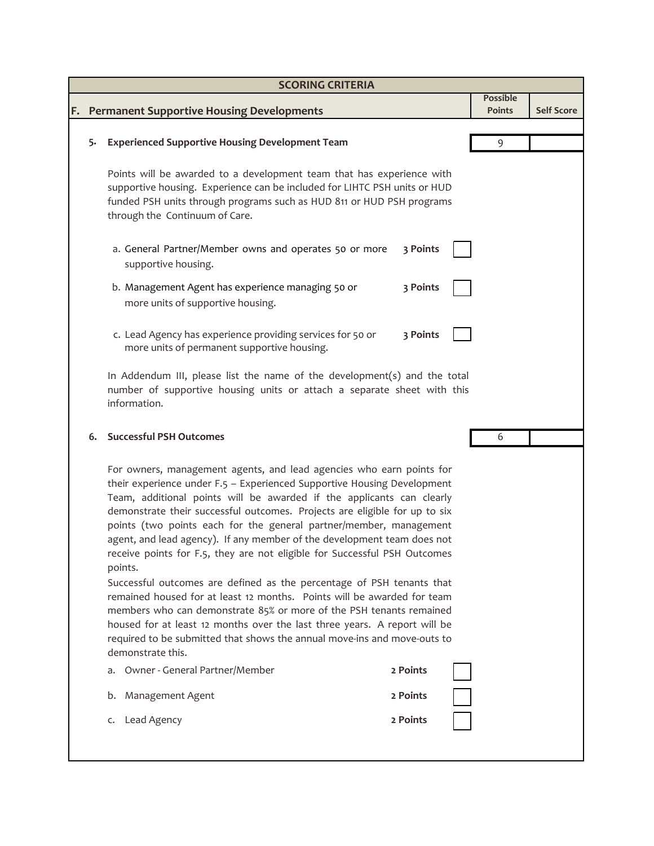|    |    | <b>SCORING CRITERIA</b>                                                                                                                                                                                                                                                                                                                                                                                                                                                                                                                                                                                                                                                                                                                                                                                                                                                                                                                                  |          |  |                                  |                   |
|----|----|----------------------------------------------------------------------------------------------------------------------------------------------------------------------------------------------------------------------------------------------------------------------------------------------------------------------------------------------------------------------------------------------------------------------------------------------------------------------------------------------------------------------------------------------------------------------------------------------------------------------------------------------------------------------------------------------------------------------------------------------------------------------------------------------------------------------------------------------------------------------------------------------------------------------------------------------------------|----------|--|----------------------------------|-------------------|
| F. |    | <b>Permanent Supportive Housing Developments</b>                                                                                                                                                                                                                                                                                                                                                                                                                                                                                                                                                                                                                                                                                                                                                                                                                                                                                                         |          |  | <b>Possible</b><br><b>Points</b> | <b>Self Score</b> |
|    |    |                                                                                                                                                                                                                                                                                                                                                                                                                                                                                                                                                                                                                                                                                                                                                                                                                                                                                                                                                          |          |  |                                  |                   |
|    | 5. | <b>Experienced Supportive Housing Development Team</b>                                                                                                                                                                                                                                                                                                                                                                                                                                                                                                                                                                                                                                                                                                                                                                                                                                                                                                   |          |  | 9                                |                   |
|    |    | Points will be awarded to a development team that has experience with<br>supportive housing. Experience can be included for LIHTC PSH units or HUD<br>funded PSH units through programs such as HUD 811 or HUD PSH programs<br>through the Continuum of Care.                                                                                                                                                                                                                                                                                                                                                                                                                                                                                                                                                                                                                                                                                            |          |  |                                  |                   |
|    |    | a. General Partner/Member owns and operates 50 or more<br>supportive housing.                                                                                                                                                                                                                                                                                                                                                                                                                                                                                                                                                                                                                                                                                                                                                                                                                                                                            | 3 Points |  |                                  |                   |
|    |    | b. Management Agent has experience managing 50 or<br>more units of supportive housing.                                                                                                                                                                                                                                                                                                                                                                                                                                                                                                                                                                                                                                                                                                                                                                                                                                                                   | 3 Points |  |                                  |                   |
|    |    | c. Lead Agency has experience providing services for 50 or<br>more units of permanent supportive housing.                                                                                                                                                                                                                                                                                                                                                                                                                                                                                                                                                                                                                                                                                                                                                                                                                                                | 3 Points |  |                                  |                   |
|    |    | In Addendum III, please list the name of the development(s) and the total<br>number of supportive housing units or attach a separate sheet with this<br>information.                                                                                                                                                                                                                                                                                                                                                                                                                                                                                                                                                                                                                                                                                                                                                                                     |          |  |                                  |                   |
|    | 6. | <b>Successful PSH Outcomes</b>                                                                                                                                                                                                                                                                                                                                                                                                                                                                                                                                                                                                                                                                                                                                                                                                                                                                                                                           |          |  | 6                                |                   |
|    |    | For owners, management agents, and lead agencies who earn points for<br>their experience under F.5 - Experienced Supportive Housing Development<br>Team, additional points will be awarded if the applicants can clearly<br>demonstrate their successful outcomes. Projects are eligible for up to six<br>points (two points each for the general partner/member, management<br>agent, and lead agency). If any member of the development team does not<br>receive points for F.5, they are not eligible for Successful PSH Outcomes<br>points.<br>Successful outcomes are defined as the percentage of PSH tenants that<br>remained housed for at least 12 months. Points will be awarded for team<br>members who can demonstrate 85% or more of the PSH tenants remained<br>housed for at least 12 months over the last three years. A report will be<br>required to be submitted that shows the annual move-ins and move-outs to<br>demonstrate this. |          |  |                                  |                   |
|    |    | a. Owner - General Partner/Member                                                                                                                                                                                                                                                                                                                                                                                                                                                                                                                                                                                                                                                                                                                                                                                                                                                                                                                        | 2 Points |  |                                  |                   |
|    |    | b. Management Agent                                                                                                                                                                                                                                                                                                                                                                                                                                                                                                                                                                                                                                                                                                                                                                                                                                                                                                                                      | 2 Points |  |                                  |                   |
|    |    | c. Lead Agency                                                                                                                                                                                                                                                                                                                                                                                                                                                                                                                                                                                                                                                                                                                                                                                                                                                                                                                                           | 2 Points |  |                                  |                   |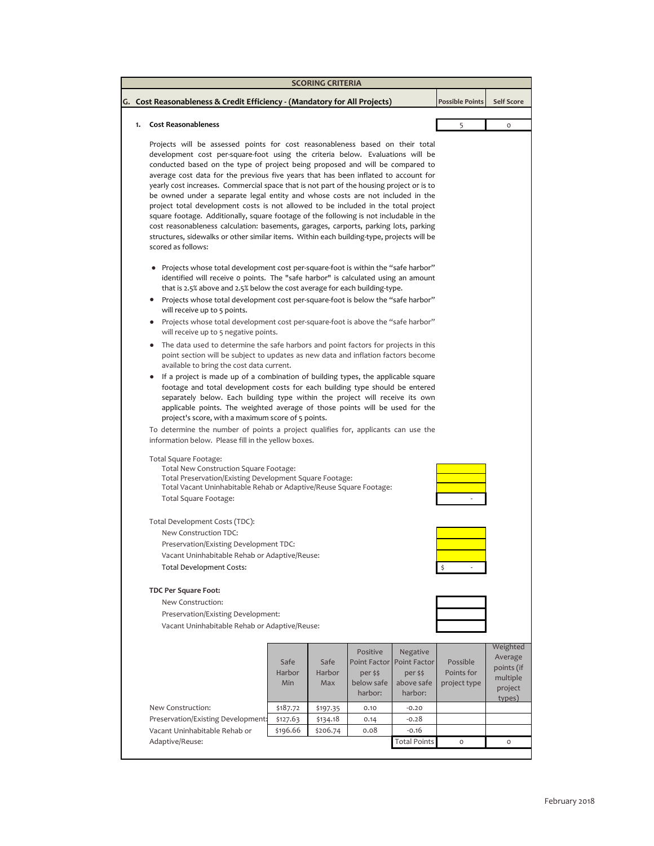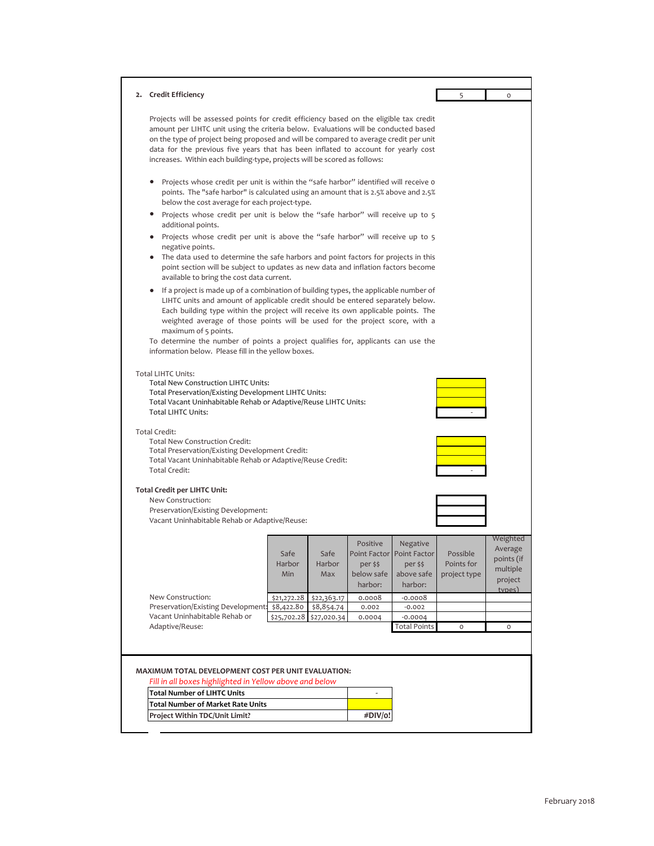| 2. Credit Efficiency                                                                                                                                                                                                                                                                                                                                                                                                                                                                                                 |                       |                       |                                               |                                                                            | 5                                      | $\mathsf O$                                                        |
|----------------------------------------------------------------------------------------------------------------------------------------------------------------------------------------------------------------------------------------------------------------------------------------------------------------------------------------------------------------------------------------------------------------------------------------------------------------------------------------------------------------------|-----------------------|-----------------------|-----------------------------------------------|----------------------------------------------------------------------------|----------------------------------------|--------------------------------------------------------------------|
| Projects will be assessed points for credit efficiency based on the eligible tax credit<br>amount per LIHTC unit using the criteria below. Evaluations will be conducted based<br>on the type of project being proposed and will be compared to average credit per unit<br>data for the previous five years that has been inflated to account for yearly cost<br>increases. Within each building-type, projects will be scored as follows:                                                                           |                       |                       |                                               |                                                                            |                                        |                                                                    |
| Projects whose credit per unit is within the "safe harbor" identified will receive o<br>٠<br>points. The "safe harbor" is calculated using an amount that is 2.5% above and 2.5%<br>below the cost average for each project-type.<br>Projects whose credit per unit is below the "safe harbor" will receive up to 5<br>٠<br>additional points.                                                                                                                                                                       |                       |                       |                                               |                                                                            |                                        |                                                                    |
| • Projects whose credit per unit is above the "safe harbor" will receive up to 5<br>negative points.<br>• The data used to determine the safe harbors and point factors for projects in this<br>point section will be subject to updates as new data and inflation factors become<br>available to bring the cost data current.                                                                                                                                                                                       |                       |                       |                                               |                                                                            |                                        |                                                                    |
| If a project is made up of a combination of building types, the applicable number of<br>٠<br>LIHTC units and amount of applicable credit should be entered separately below.<br>Each building type within the project will receive its own applicable points. The<br>weighted average of those points will be used for the project score, with a<br>maximum of 5 points.<br>To determine the number of points a project qualifies for, applicants can use the<br>information below. Please fill in the yellow boxes. |                       |                       |                                               |                                                                            |                                        |                                                                    |
| <b>Total LIHTC Units:</b><br><b>Total New Construction LIHTC Units:</b><br>Total Preservation/Existing Development LIHTC Units:<br>Total Vacant Uninhabitable Rehab or Adaptive/Reuse LIHTC Units:<br><b>Total LIHTC Units:</b><br><b>Total Credit:</b><br>Total New Construction Credit:<br>Total Preservation/Existing Development Credit:<br>Total Vacant Uninhabitable Rehab or Adaptive/Reuse Credit:<br>Total Credit:                                                                                          |                       |                       |                                               |                                                                            |                                        |                                                                    |
| <b>Total Credit per LIHTC Unit:</b><br>New Construction:<br>Preservation/Existing Development:<br>Vacant Uninhabitable Rehab or Adaptive/Reuse:                                                                                                                                                                                                                                                                                                                                                                      |                       |                       |                                               |                                                                            |                                        |                                                                    |
|                                                                                                                                                                                                                                                                                                                                                                                                                                                                                                                      | Safe<br>Harbor<br>Min | Safe<br>Harbor<br>Max | Positive<br>per \$\$<br>below safe<br>harbor: | Negative<br>Point Factor Point Factor<br>per \$\$<br>above safe<br>harbor: | Possible<br>Points for<br>project type | Weighted<br>Average<br>points (if<br>multiple<br>project<br>types) |
| New Construction:                                                                                                                                                                                                                                                                                                                                                                                                                                                                                                    | \$21,272.28           | \$22,363.17           | 0.0008                                        | $-0.0008$                                                                  |                                        |                                                                    |
| Preservation/Existing Development:                                                                                                                                                                                                                                                                                                                                                                                                                                                                                   | \$8,422.80            | \$8,854.74            | 0.002                                         | $-0.002$                                                                   |                                        |                                                                    |
| Vacant Uninhabitable Rehab or<br>Adaptive/Reuse:                                                                                                                                                                                                                                                                                                                                                                                                                                                                     | \$25,702.28           | \$27,020.34           | 0.0004                                        | $-0.0004$                                                                  |                                        | $\circ$                                                            |
|                                                                                                                                                                                                                                                                                                                                                                                                                                                                                                                      |                       |                       |                                               | <b>Total Points</b>                                                        | O                                      |                                                                    |
|                                                                                                                                                                                                                                                                                                                                                                                                                                                                                                                      |                       |                       |                                               |                                                                            |                                        |                                                                    |
| MAXIMUM TOTAL DEVELOPMENT COST PER UNIT EVALUATION:<br>Fill in all boxes highlighted in Yellow above and below                                                                                                                                                                                                                                                                                                                                                                                                       |                       |                       |                                               |                                                                            |                                        |                                                                    |
| <b>Total Number of LIHTC Units</b>                                                                                                                                                                                                                                                                                                                                                                                                                                                                                   |                       |                       | ÷,                                            |                                                                            |                                        |                                                                    |
| Total Number of Market Rate Units                                                                                                                                                                                                                                                                                                                                                                                                                                                                                    |                       |                       |                                               |                                                                            |                                        |                                                                    |
| Project Within TDC/Unit Limit?                                                                                                                                                                                                                                                                                                                                                                                                                                                                                       |                       |                       | #DIV/o!                                       |                                                                            |                                        |                                                                    |
|                                                                                                                                                                                                                                                                                                                                                                                                                                                                                                                      |                       |                       |                                               |                                                                            |                                        |                                                                    |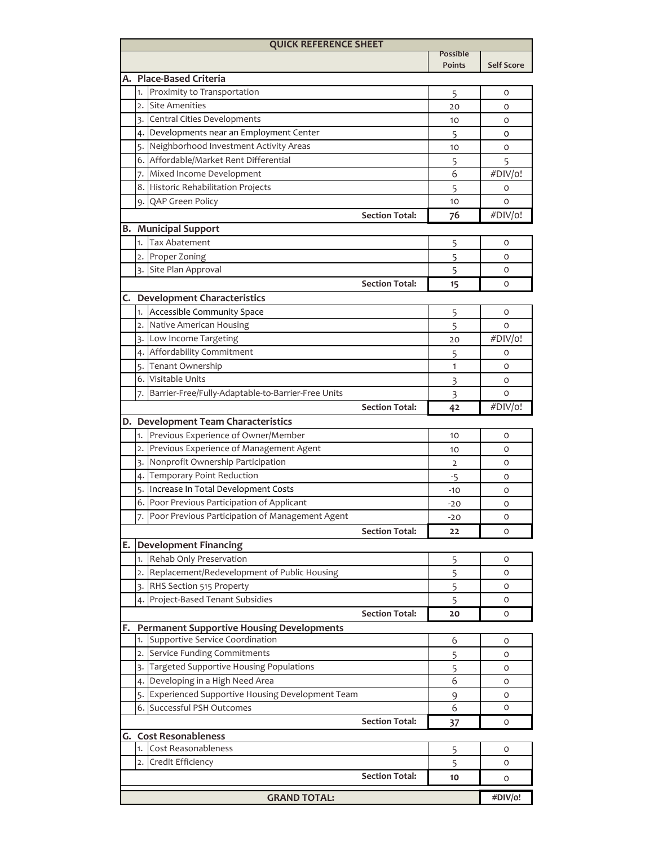| <b>QUICK REFERENCE SHEET</b> |                                |                                                                                  |                                  |                   |  |  |
|------------------------------|--------------------------------|----------------------------------------------------------------------------------|----------------------------------|-------------------|--|--|
|                              |                                |                                                                                  | <b>Possible</b><br><b>Points</b> | <b>Self Score</b> |  |  |
|                              |                                |                                                                                  |                                  |                   |  |  |
|                              | 1.                             | A. Place-Based Criteria<br>Proximity to Transportation                           |                                  |                   |  |  |
|                              | $\overline{2}$ .               | <b>Site Amenities</b>                                                            | 5                                | 0                 |  |  |
|                              |                                |                                                                                  | 20                               | 0                 |  |  |
|                              | 3.                             | Central Cities Developments                                                      | 10                               | 0                 |  |  |
|                              |                                | 4. Developments near an Employment Center                                        | 5                                | 0                 |  |  |
|                              | 6.                             | 5. Neighborhood Investment Activity Areas<br>Affordable/Market Rent Differential | 10                               | 0                 |  |  |
|                              |                                |                                                                                  | 5                                | 5                 |  |  |
|                              | 7.                             | Mixed Income Development                                                         | 6                                | #DIV/o!           |  |  |
|                              | 8.                             | Historic Rehabilitation Projects                                                 | 5                                | 0                 |  |  |
|                              |                                | 9. QAP Green Policy                                                              | 10                               | $\circ$           |  |  |
|                              |                                | <b>Section Total:</b>                                                            | 76                               | #DIV/o!           |  |  |
|                              |                                | <b>B.</b> Municipal Support                                                      |                                  |                   |  |  |
|                              | 1.                             | <b>Tax Abatement</b>                                                             | 5                                | 0                 |  |  |
|                              | 2.                             | Proper Zoning                                                                    | 5                                | 0                 |  |  |
|                              | 3.                             | Site Plan Approval                                                               | 5                                | 0                 |  |  |
|                              |                                | <b>Section Total:</b>                                                            | 15                               | O                 |  |  |
|                              |                                | C. Development Characteristics                                                   |                                  |                   |  |  |
|                              | 1.                             | Accessible Community Space                                                       | 5                                | 0                 |  |  |
|                              | 2.                             | Native American Housing                                                          | 5                                | O                 |  |  |
|                              |                                | 3. Low Income Targeting                                                          | 20                               | #DIV/o!           |  |  |
|                              |                                | 4. Affordability Commitment                                                      | 5                                | 0                 |  |  |
|                              | 5.                             | Tenant Ownership                                                                 | 1                                | 0                 |  |  |
|                              | 6.                             | Visitable Units                                                                  | 3                                | 0                 |  |  |
|                              | 7.                             | Barrier-Free/Fully-Adaptable-to-Barrier-Free Units                               | 3                                | O                 |  |  |
|                              |                                | <b>Section Total:</b>                                                            | 42                               | #DIV/o!           |  |  |
|                              |                                | D. Development Team Characteristics                                              |                                  |                   |  |  |
|                              | 1.                             | Previous Experience of Owner/Member                                              | 10                               | 0                 |  |  |
|                              | $\overline{2}$ .               | Previous Experience of Management Agent                                          | 10                               | 0                 |  |  |
|                              | 3.                             | Nonprofit Ownership Participation                                                | 2                                | 0                 |  |  |
|                              | 4.                             | Temporary Point Reduction                                                        | -5                               | 0                 |  |  |
|                              | 5.                             | Increase In Total Development Costs                                              | $-10$                            | 0                 |  |  |
|                              |                                | 6. Poor Previous Participation of Applicant                                      | $-20$                            | O                 |  |  |
|                              |                                | 7. Poor Previous Participation of Management Agent                               | $-20$                            | 0                 |  |  |
|                              |                                | <b>Section Total:</b>                                                            | 22                               | 0                 |  |  |
| Е.                           |                                | <b>Development Financing</b>                                                     |                                  |                   |  |  |
|                              | 1.                             | Rehab Only Preservation                                                          | 5                                | 0                 |  |  |
|                              | $\overline{2}$ .               | Replacement/Redevelopment of Public Housing                                      | 5                                | 0                 |  |  |
|                              |                                | 3. RHS Section 515 Property                                                      | 5                                | 0                 |  |  |
|                              | 4.                             | Project-Based Tenant Subsidies                                                   | 5                                | 0                 |  |  |
|                              |                                | <b>Section Total:</b>                                                            | 20                               | 0                 |  |  |
| F.                           |                                | <b>Permanent Supportive Housing Developments</b>                                 |                                  |                   |  |  |
|                              | 1.                             | Supportive Service Coordination                                                  | 6                                | 0                 |  |  |
|                              | 2.                             | Service Funding Commitments                                                      | 5                                | 0                 |  |  |
|                              | 3.                             | Targeted Supportive Housing Populations                                          | 5                                | 0                 |  |  |
|                              | 4.                             | Developing in a High Need Area                                                   | 6                                | 0                 |  |  |
|                              | 5.                             | Experienced Supportive Housing Development Team                                  | 9                                | 0                 |  |  |
|                              | 6.                             | Successful PSH Outcomes                                                          | 6                                | 0                 |  |  |
|                              |                                | <b>Section Total:</b>                                                            | 37                               | 0                 |  |  |
| G. Cost Resonableness        |                                |                                                                                  |                                  |                   |  |  |
|                              | 1.                             | Cost Reasonableness                                                              | 5                                | 0                 |  |  |
|                              |                                | 2. Credit Efficiency                                                             | 5                                | 0                 |  |  |
|                              |                                | <b>Section Total:</b>                                                            | 10                               | 0                 |  |  |
|                              |                                |                                                                                  |                                  |                   |  |  |
|                              | <b>GRAND TOTAL:</b><br>#DIV/o! |                                                                                  |                                  |                   |  |  |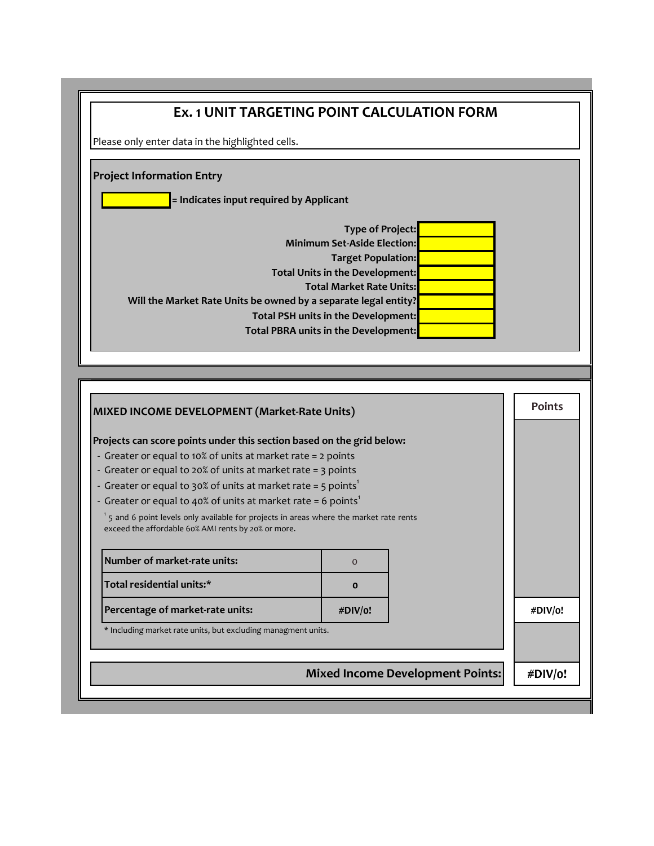| <b>Ex. 1 UNIT TARGETING POINT CALCULATION FORM</b>                                                                                                                                                                                                                                                                                                              |              |  |               |  |
|-----------------------------------------------------------------------------------------------------------------------------------------------------------------------------------------------------------------------------------------------------------------------------------------------------------------------------------------------------------------|--------------|--|---------------|--|
| Please only enter data in the highlighted cells.                                                                                                                                                                                                                                                                                                                |              |  |               |  |
| <b>Project Information Entry</b>                                                                                                                                                                                                                                                                                                                                |              |  |               |  |
| = Indicates input required by Applicant                                                                                                                                                                                                                                                                                                                         |              |  |               |  |
| <b>Type of Project:</b><br><b>Minimum Set-Aside Election:</b><br><b>Target Population:</b><br>Total Units in the Development:<br><b>Total Market Rate Units:</b><br>Will the Market Rate Units be owned by a separate legal entity?<br>Total PSH units in the Development:<br>Total PBRA units in the Development:                                              |              |  |               |  |
|                                                                                                                                                                                                                                                                                                                                                                 |              |  |               |  |
| MIXED INCOME DEVELOPMENT (Market-Rate Units)                                                                                                                                                                                                                                                                                                                    |              |  | <b>Points</b> |  |
| Projects can score points under this section based on the grid below:<br>- Greater or equal to 10% of units at market rate = 2 points<br>- Greater or equal to 20% of units at market rate = 3 points<br>- Greater or equal to 30% of units at market rate = 5 points <sup>1</sup><br>- Greater or equal to 40% of units at market rate = 6 points <sup>1</sup> |              |  |               |  |
| $1$ 5 and 6 point levels only available for projects in areas where the market rate rents<br>exceed the affordable 60% AMI rents by 20% or more.                                                                                                                                                                                                                |              |  |               |  |
| Number of market-rate units:                                                                                                                                                                                                                                                                                                                                    | $\mathbf 0$  |  |               |  |
| Total residential units:*                                                                                                                                                                                                                                                                                                                                       | $\mathbf{o}$ |  |               |  |
| Percentage of market-rate units:                                                                                                                                                                                                                                                                                                                                | #DIV/o!      |  | #DIV/o!       |  |
| * Including market rate units, but excluding managment units.                                                                                                                                                                                                                                                                                                   |              |  |               |  |
| <b>Mixed Income Development Points:</b>                                                                                                                                                                                                                                                                                                                         |              |  | #DIV/o!       |  |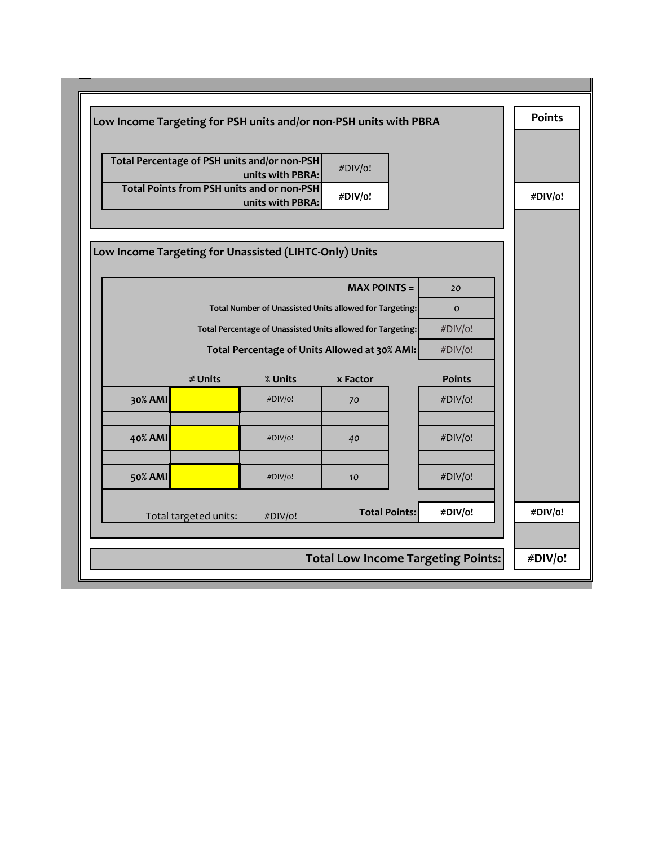|                                                        |                                                                             |                                                                       | Low Income Targeting for PSH units and/or non-PSH units with PBRA |               | <b>Points</b> |  |
|--------------------------------------------------------|-----------------------------------------------------------------------------|-----------------------------------------------------------------------|-------------------------------------------------------------------|---------------|---------------|--|
|                                                        | Total Percentage of PSH units and/or non-PSH<br>#DIV/o!<br>units with PBRA: |                                                                       |                                                                   |               |               |  |
|                                                        |                                                                             | <b>Total Points from PSH units and or non-PSH</b><br>units with PBRA: | #DIV/o!                                                           |               | #DIV/o!       |  |
|                                                        |                                                                             |                                                                       |                                                                   |               |               |  |
| Low Income Targeting for Unassisted (LIHTC-Only) Units |                                                                             |                                                                       |                                                                   |               |               |  |
|                                                        |                                                                             |                                                                       | $MAX$ POINTS $=$                                                  | 20            |               |  |
|                                                        | Total Number of Unassisted Units allowed for Targeting:<br>$\mathbf{o}$     |                                                                       |                                                                   |               |               |  |
|                                                        |                                                                             |                                                                       |                                                                   |               |               |  |
|                                                        | Total Percentage of Units Allowed at 30% AMI:<br>#DIV/o!                    |                                                                       |                                                                   |               |               |  |
|                                                        | # Units                                                                     | % Units                                                               | x Factor                                                          | <b>Points</b> |               |  |
| 30% AMI                                                |                                                                             | #DIV/o!                                                               | 70                                                                | #DIV/o!       |               |  |
| 40% AMI                                                |                                                                             | #DIV/o!                                                               | 40                                                                | #DIV/o!       |               |  |
| <b>50% AMI</b>                                         |                                                                             | #DIV/o!                                                               | 10                                                                | #DIV/o!       |               |  |
|                                                        | Total targeted units:                                                       | #DIV/o!                                                               | <b>Total Points:</b>                                              | #DIV/o!       | #DIV/o!       |  |
|                                                        |                                                                             |                                                                       | <b>Total Low Income Targeting Points:</b>                         |               | #DIV/o!       |  |